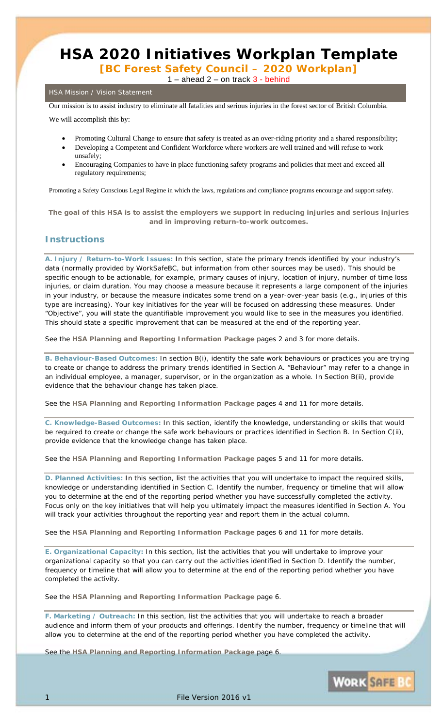# **HSA 2020 Initiatives Workplan Template**

*[BC Forest Safety Council – 2020 Workplan]*

1 – ahead 2 – on track 3 - behind

#### HSA Mission / Vision Statement

Our mission is to assist industry to eliminate all fatalities and serious injuries in the forest sector of British Columbia.

We will accomplish this by:

- Promoting Cultural Change to ensure that safety is treated as an over-riding priority and a shared responsibility;
- Developing a Competent and Confident Workforce where workers are well trained and will refuse to work unsafely;
- Encouraging Companies to have in place functioning safety programs and policies that meet and exceed all regulatory requirements;

Promoting a Safety Conscious Legal Regime in which the laws, regulations and compliance programs encourage and support safety.

*The goal of this HSA is to assist the employers we support in reducing injuries and serious injuries and in improving return-to-work outcomes.* 

#### **Instructions**

**A. Injury / Return-to-Work Issues:** In this section, state the primary trends identified by your industry's data (normally provided by WorkSafeBC, but information from other sources may be used). This should be specific enough to be actionable, for example, primary causes of injury, location of injury, number of time loss injuries, or claim duration. You may choose a measure because it represents a large component of the injuries in your industry, or because the measure indicates some trend on a year-over-year basis (e.g., injuries of this type are increasing). Your key initiatives for the year will be focused on addressing these measures. Under "Objective", you will state the quantifiable improvement you would like to see in the measures you identified. This should state a specific improvement that can be measured at the end of the reporting year.

See the **HSA Planning and Reporting Information Package** pages 2 and 3 for more details.

**B. Behaviour-Based Outcomes:** In section B(i), identify the safe work behaviours or practices you are trying to create or change to address the primary trends identified in Section A. "Behaviour" may refer to a change in an individual employee, a manager, supervisor, or in the organization as a whole. In Section B(ii), provide evidence that the behaviour change has taken place.

See the **HSA Planning and Reporting Information Package** pages 4 and 11 for more details.

**C. Knowledge-Based Outcomes:** In this section, identify the knowledge, understanding or skills that would be required to create or change the safe work behaviours or practices identified in Section B. In Section C(ii), provide evidence that the knowledge change has taken place.

See the **HSA Planning and Reporting Information Package** pages 5 and 11 for more details.

**D. Planned Activities:** In this section, list the activities that you will undertake to impact the required skills, knowledge or understanding identified in Section C. Identify the number, frequency or timeline that will allow you to determine at the end of the reporting period whether you have successfully completed the activity. Focus only on the key initiatives that will help you ultimately impact the measures identified in Section A. You will track your activities throughout the reporting year and report them in the actual column.

See the **HSA Planning and Reporting Information Package** pages 6 and 11 for more details.

**E. Organizational Capacity:** In this section, list the activities that you will undertake to improve your organizational capacity so that you can carry out the activities identified in Section D. Identify the number, frequency or timeline that will allow you to determine at the end of the reporting period whether you have completed the activity.

See the **HSA Planning and Reporting Information Package** page 6.

**F. Marketing / Outreach:** In this section, list the activities that you will undertake to reach a broader audience and inform them of your products and offerings. Identify the number, frequency or timeline that will allow you to determine at the end of the reporting period whether you have completed the activity.

See the **HSA Planning and Reporting Information Package** page 6.

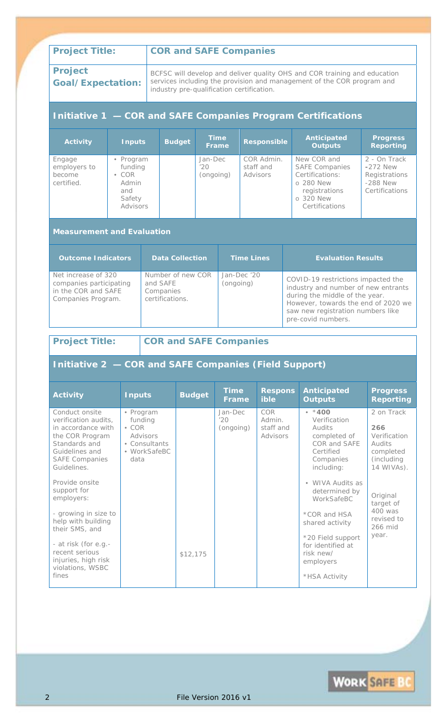#### **Project Title: COR and SAFE Companies**

# **Project Goal/Expectation:**

BCFSC will develop and deliver quality OHS and COR training and education services including the provision and management of the COR program and industry pre-qualification certification.

# **Initiative 1 — COR and SAFE Companies Program Certifications**

| <b>Activity</b>                                | <b>Inputs</b>                                                                         | <b>Budget</b> | <b>Time</b><br><b>Frame</b> | <b>Responsible</b>                  | <b>Anticipated</b><br><b>Outputs</b>                                                                                 | <b>Progress</b><br><b>Reporting</b>                                         |
|------------------------------------------------|---------------------------------------------------------------------------------------|---------------|-----------------------------|-------------------------------------|----------------------------------------------------------------------------------------------------------------------|-----------------------------------------------------------------------------|
| Engage<br>employers to<br>become<br>certified. | Program<br>۰<br>funding<br>$\bullet$ COR<br>Admin<br>and<br>Safety<br><b>Advisors</b> |               | Jan-Dec<br>'20<br>(ongoing) | COR Admin.<br>staff and<br>Advisors | New COR and<br><b>SAFE Companies</b><br>Certifications:<br>o 280 New<br>registrations<br>o 320 New<br>Certifications | 2 - On Track<br>$-272$ New<br>Registrations<br>$-288$ New<br>Certifications |

#### **Measurement and Evaluation**

| <b>Outcome Indicators</b>                                                                   | <b>Data Collection</b>                                        | <b>Time Lines</b>        | <b>Evaluation Results</b>                                                                                                                                                                                     |
|---------------------------------------------------------------------------------------------|---------------------------------------------------------------|--------------------------|---------------------------------------------------------------------------------------------------------------------------------------------------------------------------------------------------------------|
| Net increase of 320<br>companies participating<br>in the COR and SAFE<br>Companies Program. | Number of new COR<br>and SAFE<br>Companies<br>certifications. | Jan-Dec '20<br>(ongoing) | COVID-19 restrictions impacted the<br>industry and number of new entrants<br>during the middle of the year.<br>However, towards the end of 2020 we<br>saw new registration numbers like<br>pre-covid numbers. |

#### **Project Title: COR and SAFE Companies**

# **Initiative 2 — COR and SAFE Companies (Field Support)**

| <b>Activity</b>                                                                                                                                            | <b>Inputs</b>                                                                              | <b>Budget</b> | <b>Time</b><br><b>Frame</b> | <b>Respons</b><br><i>ible</i>          | <b>Anticipated</b><br><b>Outputs</b>                                                                      | <b>Progress</b><br><b>Reporting</b>                                                         |
|------------------------------------------------------------------------------------------------------------------------------------------------------------|--------------------------------------------------------------------------------------------|---------------|-----------------------------|----------------------------------------|-----------------------------------------------------------------------------------------------------------|---------------------------------------------------------------------------------------------|
| Conduct onsite<br>verification audits,<br>in accordance with<br>the COR Program<br>Standards and<br>Guidelines and<br><b>SAFE Companies</b><br>Guidelines. | • Program<br>funding<br>$\degree$ COR<br>Advisors<br>• Consultants<br>• WorkSafeBC<br>data |               | Jan-Dec<br>'20<br>(ongoing) | COR<br>Admin.<br>staff and<br>Advisors | $•*400$<br>Verification<br>Audits<br>completed of<br>COR and SAFE<br>Certified<br>Companies<br>including: | 2 on Track<br>266<br>Verification<br><b>Audits</b><br>completed<br>(including<br>14 WIVAS). |
| Provide onsite<br>support for<br>employers:                                                                                                                |                                                                                            |               |                             |                                        | • WIVA Audits as<br>determined by<br>WorkSafeBC                                                           | Original<br>target of                                                                       |
| - growing in size to<br>help with building<br>their SMS, and                                                                                               |                                                                                            |               |                             |                                        | *COR and HSA<br>shared activity                                                                           | 400 was<br>revised to<br>266 mid                                                            |
| - at risk (for e.g.-<br>recent serious<br>injuries, high risk<br>violations, WSBC<br>fines                                                                 |                                                                                            | \$12,175      |                             |                                        | *20 Field support<br>for identified at<br>risk new/<br>employers<br>*HSA Activity                         | year.                                                                                       |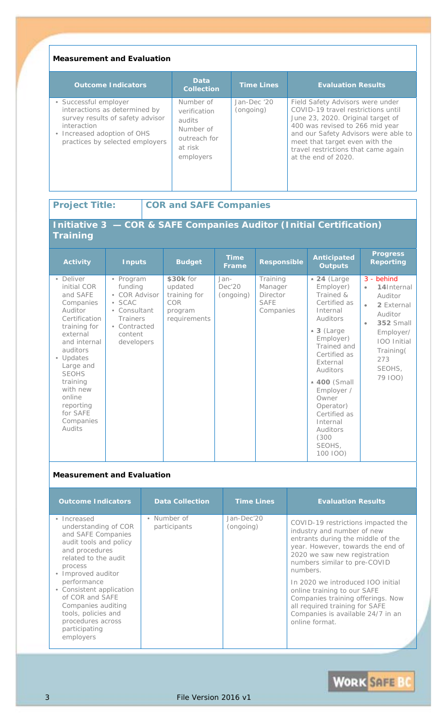#### **Measurement and Evaluation**

| <b>Outcome Indicators</b>                                                                                                                                                   | Data<br><b>Collection</b>                                                                | <b>Time Lines</b>        | <b>Evaluation Results</b>                                                                                                                                                                                                                                                              |
|-----------------------------------------------------------------------------------------------------------------------------------------------------------------------------|------------------------------------------------------------------------------------------|--------------------------|----------------------------------------------------------------------------------------------------------------------------------------------------------------------------------------------------------------------------------------------------------------------------------------|
| • Successful employer<br>interactions as determined by<br>survey results of safety advisor<br>interaction<br>• Increased adoption of OHS<br>practices by selected employers | Number of<br>verification<br>audits<br>Number of<br>outreach for<br>at risk<br>employers | Jan-Dec '20<br>(ongoing) | Field Safety Advisors were under<br>COVID-19 travel restrictions until<br>June 23, 2020. Original target of<br>400 was revised to 266 mid year<br>and our Safety Advisors were able to<br>meet that target even with the<br>travel restrictions that came again<br>at the end of 2020. |

# **Project Title:** COR and SAFE Companies

# **Initiative 3 — COR & SAFE Companies Auditor (Initial Certification) Training**

| <b>Activity</b>                                                                                                                                                                                                                                                   | <b>Inputs</b>                                                                                                        | <b>Budget</b>                                                                 | <b>Time</b><br><b>Frame</b> | <b>Responsible</b>                                          | <b>Anticipated</b><br><b>Outputs</b>                                                                                                                                                                                                                                                                            | <b>Progress</b><br><b>Reporting</b>                                                                                                                                                                             |
|-------------------------------------------------------------------------------------------------------------------------------------------------------------------------------------------------------------------------------------------------------------------|----------------------------------------------------------------------------------------------------------------------|-------------------------------------------------------------------------------|-----------------------------|-------------------------------------------------------------|-----------------------------------------------------------------------------------------------------------------------------------------------------------------------------------------------------------------------------------------------------------------------------------------------------------------|-----------------------------------------------------------------------------------------------------------------------------------------------------------------------------------------------------------------|
| • Deliver<br>initial COR<br>and SAFE<br>Companies<br>Auditor<br>Certification<br>training for<br>external<br>and internal<br>auditors<br>• Updates<br>Large and<br><b>SEOHS</b><br>training<br>with new<br>online<br>reporting<br>for SAFE<br>Companies<br>Audits | • Program<br>funding<br>• COR Advisor<br>• SCAC<br>• Consultant<br>Trainers<br>• Contracted<br>content<br>developers | \$30k for<br>updated<br>training for<br><b>COR</b><br>program<br>requirements | Jan-<br>Dec'20<br>(ongoing) | Training<br>Manager<br>Director<br><b>SAFE</b><br>Companies | <b>24</b> (Large<br>Employer)<br>Trained &<br>Certified as<br>Internal<br>Auditors<br>$\triangleq$ 3 (Large<br>Employer)<br>Trained and<br>Certified as<br>External<br>Auditors<br><b>400 (Small</b><br>Employer /<br>Owner<br>Operator)<br>Certified as<br>Internal<br>Auditors<br>(300)<br>SEOHS,<br>100 100) | 3 - behind<br>14Internal<br>$\qquad \qquad \blacksquare$<br>Auditor<br>2 External<br>$\bullet$<br>Auditor<br>352 Small<br>$\bullet$<br>Employer/<br><b>100 Initial</b><br>Training(<br>273<br>SEOHS,<br>79 100) |

#### **Measurement and Evaluation**

| <b>Outcome Indicators</b>                                                                                                                                      | <b>Data Collection</b>      | <b>Time Lines</b>       | <b>Evaluation Results</b>                                                                                                                                                                                              |
|----------------------------------------------------------------------------------------------------------------------------------------------------------------|-----------------------------|-------------------------|------------------------------------------------------------------------------------------------------------------------------------------------------------------------------------------------------------------------|
| • Increased<br>understanding of COR<br>and SAFE Companies<br>audit tools and policy<br>and procedures<br>related to the audit<br>process<br>• Improved auditor | • Number of<br>participants | Jan-Dec'20<br>(ongoing) | COVID-19 restrictions impacted the<br>industry and number of new<br>entrants during the middle of the<br>year. However, towards the end of<br>2020 we saw new registration<br>numbers similar to pre-COVID<br>numbers. |
| performance<br>• Consistent application<br>of COR and SAFE<br>Companies auditing<br>tools, policies and<br>procedures across<br>participating<br>employers     |                             |                         | In 2020 we introduced IOO initial<br>online training to our SAFE<br>Companies training offerings. Now<br>all required training for SAFE<br>Companies is available 24/7 in an<br>online format.                         |

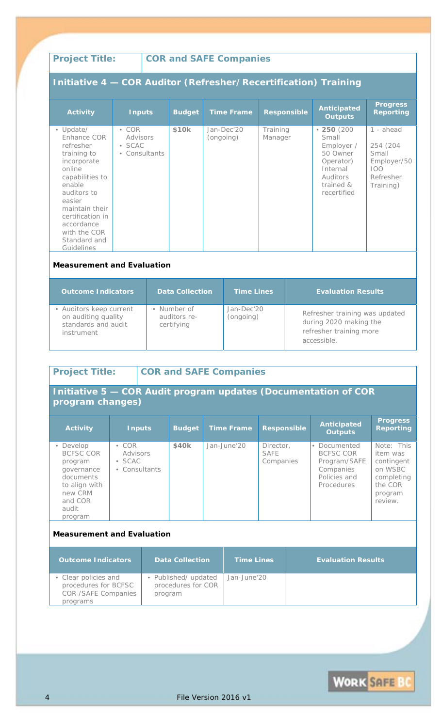# **Project Title:** COR and SAFE Companies

# **Initiative 4 — COR Auditor (Refresher/Recertification) Training**

| <b>Activity</b>                                                                                                                                                                                                                       | <b>Inputs</b>                                        | <b>Budget</b>     | <b>Time Frame</b>       | <b>Responsible</b>  | <b>Anticipated</b><br><b>Outputs</b>                                                                           | <b>Progress</b><br><b>Reporting</b>                                            |
|---------------------------------------------------------------------------------------------------------------------------------------------------------------------------------------------------------------------------------------|------------------------------------------------------|-------------------|-------------------------|---------------------|----------------------------------------------------------------------------------------------------------------|--------------------------------------------------------------------------------|
| • Update/<br>Enhance COR<br>refresher<br>training to<br>incorporate<br>online<br>capabilities to<br>enable<br>auditors to<br>easier<br>maintain their<br>certification in<br>accordance<br>with the COR<br>Standard and<br>Guidelines | $\degree$ COR<br>Advisors<br>• SCAC<br>• Consultants | \$10 <sub>k</sub> | Jan-Dec'20<br>(ongoing) | Training<br>Manager | • 250 (200<br>Small<br>Employer /<br>50 Owner<br>Operator)<br>Internal<br>Auditors<br>trained &<br>recertified | 1 - ahead<br>254 (204<br>Small<br>Employer/50<br>100<br>Refresher<br>Training) |

# **Measurement and Evaluation**

| <b>Outcome Indicators</b>                                                           | <b>Data Collection</b>                    | <b>Time Lines</b>       | <b>Evaluation Results</b>                                                                          |
|-------------------------------------------------------------------------------------|-------------------------------------------|-------------------------|----------------------------------------------------------------------------------------------------|
| • Auditors keep current<br>on auditing quality<br>standards and audit<br>instrument | • Number of<br>auditors re-<br>certifying | Jan-Dec'20<br>(ongoing) | Refresher training was updated<br>during 2020 making the<br>refresher training more<br>accessible. |

# **Project Title: COR and SAFE Companies Initiative 5 — COR Audit program updates (Documentation of COR program changes)**

| <b>Activity</b>                                                                                                         | <b>Inputs</b>                                                | <b>Budget</b> | <b>Time Frame</b> | Responsible                           | Anticipated<br><b>Outputs</b>                                                        | <b>Progress</b><br><b>Reporting</b>                                                            |
|-------------------------------------------------------------------------------------------------------------------------|--------------------------------------------------------------|---------------|-------------------|---------------------------------------|--------------------------------------------------------------------------------------|------------------------------------------------------------------------------------------------|
| • Develop<br>BCFSC COR<br>program<br>governance<br>documents<br>to align with<br>new CRM<br>and COR<br>audit<br>program | $\bullet$ COR<br>Advisors<br>$\bullet$ SCAC<br>• Consultants | \$40k         | Jan-June'20       | Director,<br><b>SAFE</b><br>Companies | • Documented<br>BCFSC COR<br>Program/SAFE<br>Companies<br>Policies and<br>Procedures | Note: This<br>item was<br>contingent<br>on WSBC<br>completing<br>the COR<br>program<br>review. |

# **Measurement and Evaluation**

| <b>Outcome Indicators</b>                                                        | <b>Data Collection</b>                               | <b>Time Lines</b> | <b>Evaluation Results</b> |
|----------------------------------------------------------------------------------|------------------------------------------------------|-------------------|---------------------------|
| • Clear policies and<br>procedures for BCFSC<br>COR / SAFE Companies<br>programs | • Published/updated<br>procedures for COR<br>program | Jan-June'20       |                           |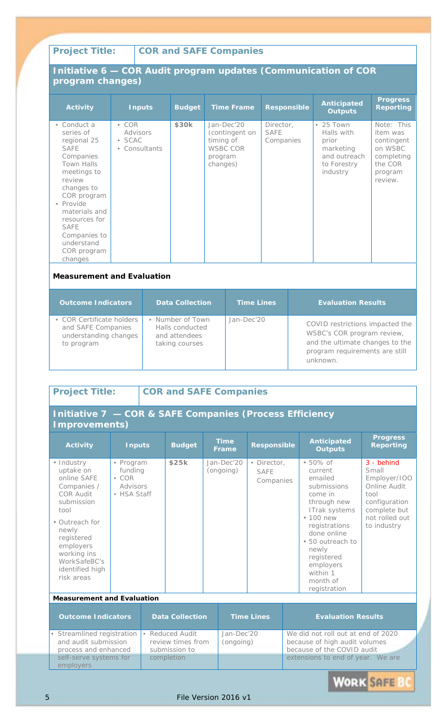### **Project Title: COR and SAFE Companies**

# **Initiative 6 — COR Audit program updates (Communication of COR program changes)**

| <b>Activity</b>                                                                                                                                                                                                                                               | <b>Inputs</b>                                                                         | <b>Budget</b> | <b>Time Frame</b>                                                                   | <b>Responsible</b>                    | <b>Anticipated</b><br><b>Outputs</b>                                                             | <b>Progress</b><br><b>Reporting</b>                                                            |
|---------------------------------------------------------------------------------------------------------------------------------------------------------------------------------------------------------------------------------------------------------------|---------------------------------------------------------------------------------------|---------------|-------------------------------------------------------------------------------------|---------------------------------------|--------------------------------------------------------------------------------------------------|------------------------------------------------------------------------------------------------|
| • Conduct a<br>series of<br>regional 25<br><b>SAFE</b><br>Companies<br>Town Halls<br>meetings to<br>review<br>changes to<br>COR program<br>• Provide<br>materials and<br>resources for<br><b>SAFE</b><br>Companies to<br>understand<br>COR program<br>changes | $\bullet$ COR<br>Advisors<br>$\bullet$ SCAC<br>Consultants<br>$\qquad \qquad \bullet$ | \$30k         | Jan-Dec'20<br>(contingent on<br>timing of<br><b>WSBC COR</b><br>program<br>changes) | Director,<br><b>SAFE</b><br>Companies | $\bullet$ 25 Town<br>Halls with<br>prior<br>marketing<br>and outreach<br>to Forestry<br>industry | Note: This<br>item was<br>contingent<br>on WSBC<br>completing<br>the COR<br>program<br>review. |

#### **Measurement and Evaluation**

| <b>Outcome Indicators</b>                                                              | <b>Data Collection</b>                                                 | <b>Time Lines</b> | <b>Evaluation Results</b>                                                                                                                      |
|----------------------------------------------------------------------------------------|------------------------------------------------------------------------|-------------------|------------------------------------------------------------------------------------------------------------------------------------------------|
| • COR Certificate holders<br>and SAFE Companies<br>understanding changes<br>to program | • Number of Town<br>Halls conducted<br>and attendees<br>taking courses | Jan-Dec'20        | COVID restrictions impacted the<br>WSBC's COR program review,<br>and the ultimate changes to the<br>program requirements are still<br>unknown. |

### **Project Title: COR and SAFE Companies**

# **Initiative 7 — COR & SAFE Companies (Process Efficiency Improvements)**

| <b>Activity</b>                                                                                                                                                                                                       | <b>Inputs</b>                                                    | <b>Budget</b> | <b>Time</b><br><b>Frame</b> | <b>Responsible</b>                      | <b>Anticipated</b><br><b>Outputs</b>                                                                                                                                                                                                        | <b>Progress</b><br><b>Reporting</b>                                                                                           |
|-----------------------------------------------------------------------------------------------------------------------------------------------------------------------------------------------------------------------|------------------------------------------------------------------|---------------|-----------------------------|-----------------------------------------|---------------------------------------------------------------------------------------------------------------------------------------------------------------------------------------------------------------------------------------------|-------------------------------------------------------------------------------------------------------------------------------|
| • Industry<br>uptake on<br>online SAFE<br>Companies /<br><b>COR Audit</b><br>submission<br>tool<br>• Outreach for<br>newly<br>registered<br>employers<br>working ins<br>WorkSafeBC's<br>identified high<br>risk areas | • Program<br>funding<br>$\degree$ COR<br>Advisors<br>• HSA Staff | \$25k         | Jan-Dec'20<br>(ongoing)     | • Director,<br><b>SAFE</b><br>Companies | $\cdot$ 50% of<br>current<br>emailed<br>submissions<br>come in<br>through new<br>ITrak systems<br>• 100 new<br>registrations<br>done online<br>• 50 outreach to<br>newly<br>registered<br>employers<br>within 1<br>month of<br>registration | 3 - behind<br>Small<br>Employer/100<br>Online Audit<br>tool<br>configuration<br>complete but<br>not rolled out<br>to industry |

#### **Measurement and Evaluation**

| <b>Outcome Indicators</b>                                                  | <b>Data Collection</b>                                                  | <b>Time Lines</b>       | <b>Evaluation Results</b>                                                                         |
|----------------------------------------------------------------------------|-------------------------------------------------------------------------|-------------------------|---------------------------------------------------------------------------------------------------|
| • Streamlined registration<br>and audit submission<br>process and enhanced | <b>Reduced Audit</b><br>$\bullet$<br>review times from<br>submission to | Jan-Dec'20<br>(ongoing) | We did not roll out at end of 2020<br>because of high audit volumes<br>because of the COVID audit |
| self-serve systems for<br>employers                                        | completion                                                              |                         | extensions to end of year. We are                                                                 |

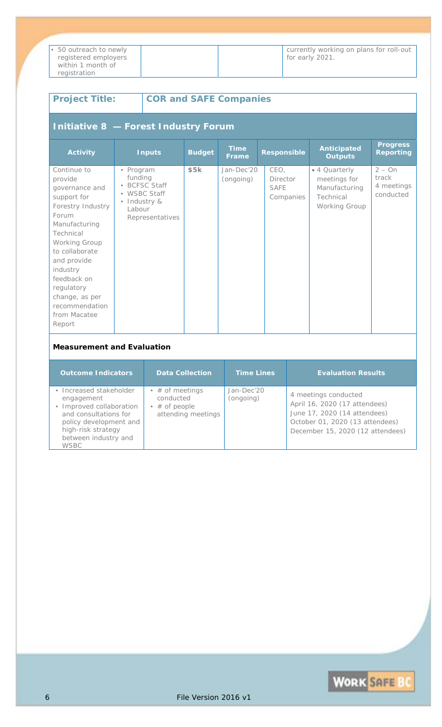• 50 outreach to newly registered employers within 1 month of registration

currently working on plans for roll-out for early 2021.

| <b>Project Title:</b>                                                                                                                                                                                                                                                        |                                                | <b>COR and SAFE Companies</b>                                 |                        |                         |                                 |           |                                                                              |                                              |
|------------------------------------------------------------------------------------------------------------------------------------------------------------------------------------------------------------------------------------------------------------------------------|------------------------------------------------|---------------------------------------------------------------|------------------------|-------------------------|---------------------------------|-----------|------------------------------------------------------------------------------|----------------------------------------------|
| Initiative 8 - Forest Industry Forum                                                                                                                                                                                                                                         |                                                |                                                               |                        |                         |                                 |           |                                                                              |                                              |
| <b>Activity</b>                                                                                                                                                                                                                                                              |                                                | <b>Inputs</b>                                                 | <b>Budget</b>          | <b>Time</b><br>Frame    | <b>Responsible</b>              |           | <b>Anticipated</b><br><b>Outputs</b>                                         | <b>Progress</b><br><b>Reporting</b>          |
| Continue to<br>provide<br>governance and<br>support for<br>Forestry Industry<br>Forum<br>Manufacturing<br>Technical<br>Working Group<br>to collaborate<br>and provide<br>industry<br>feedback on<br>regulatory<br>change, as per<br>recommendation<br>from Macatee<br>Report | • Program<br>funding<br>· Industry &<br>Labour | • BCFSC Staff<br>· WSBC Staff<br>Representatives              | \$5k                   | Jan-Dec'20<br>(ongoing) | CEO,<br>Director<br><b>SAFE</b> | Companies | • 4 Quarterly<br>meetings for<br>Manufacturing<br>Technical<br>Working Group | $2 - On$<br>track<br>4 meetings<br>conducted |
| <b>Measurement and Evaluation</b>                                                                                                                                                                                                                                            |                                                |                                                               |                        |                         |                                 |           |                                                                              |                                              |
| <b>Outcome Indicators</b>                                                                                                                                                                                                                                                    |                                                |                                                               | <b>Data Collection</b> | <b>Time Lines</b>       |                                 |           | <b>Evaluation Results</b>                                                    |                                              |
| Increased stakeholder<br>engagement<br>• Improved collaboration                                                                                                                                                                                                              |                                                | $\bullet$ # of meetings<br>conducted<br>$\bullet$ # of neonle |                        | Jan-Dec'20<br>(ongoing) |                                 |           | 4 meetings conducted<br>April 16, 2020 (17 attendees)                        |                                              |

| engagement<br>• Improved collaboration<br>and consultations for<br>policy development and<br>high-risk strategy<br>between industry and<br><b>WSBC</b> | conducted<br>• $\#$ of people<br>attending meetings | (ongoing) | T THUS CHINGS CONGRUPORT<br>April 16, 2020 (17 attendees)<br>June 17, 2020 (14 attendees)<br>October 01, 2020 (13 attendees)<br>December 15, 2020 (12 attendees) |
|--------------------------------------------------------------------------------------------------------------------------------------------------------|-----------------------------------------------------|-----------|------------------------------------------------------------------------------------------------------------------------------------------------------------------|
|--------------------------------------------------------------------------------------------------------------------------------------------------------|-----------------------------------------------------|-----------|------------------------------------------------------------------------------------------------------------------------------------------------------------------|

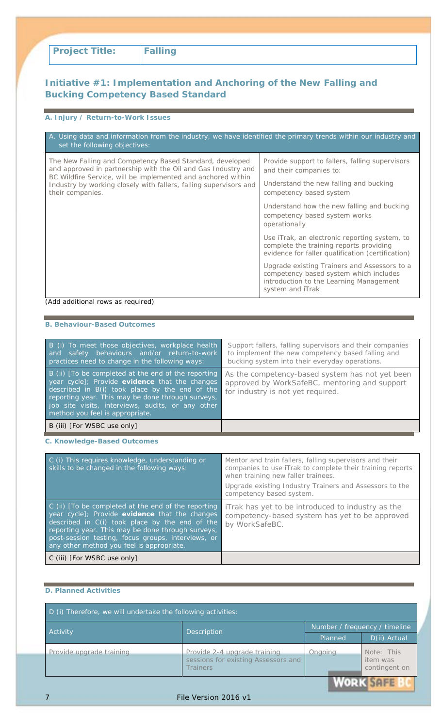# **Initiative #1: Implementation and Anchoring of the New Falling and Bucking Competency Based Standard**

#### **A. Injury / Return-to-Work Issues**

| A. Using data and information from the industry, we have identified the primary trends within our industry and<br>set the following objectives:                                                                                                                                    |                                                                                                                                                       |  |  |
|------------------------------------------------------------------------------------------------------------------------------------------------------------------------------------------------------------------------------------------------------------------------------------|-------------------------------------------------------------------------------------------------------------------------------------------------------|--|--|
| The New Falling and Competency Based Standard, developed<br>and approved in partnership with the Oil and Gas Industry and<br>BC Wildfire Service, will be implemented and anchored within<br>Industry by working closely with fallers, falling supervisors and<br>their companies. | Provide support to fallers, falling supervisors<br>and their companies to:                                                                            |  |  |
|                                                                                                                                                                                                                                                                                    | Understand the new falling and bucking<br>competency based system                                                                                     |  |  |
|                                                                                                                                                                                                                                                                                    | Understand how the new falling and bucking<br>competency based system works<br>operationally                                                          |  |  |
|                                                                                                                                                                                                                                                                                    | Use iTrak, an electronic reporting system, to<br>complete the training reports providing<br>evidence for faller qualification (certification)         |  |  |
|                                                                                                                                                                                                                                                                                    | Upgrade existing Trainers and Assessors to a<br>competency based system which includes<br>introduction to the Learning Management<br>system and iTrak |  |  |

(Add additional rows as required)

#### **B. Behaviour-Based Outcomes**

| B (i) To meet those objectives, workplace health<br>safety behaviours and/or return-to-work<br>and<br>practices need to change in the following ways:                                                                                                                                                           | Support fallers, falling supervisors and their companies<br>to implement the new competency based falling and<br>bucking system into their everyday operations.                                                                                   |
|-----------------------------------------------------------------------------------------------------------------------------------------------------------------------------------------------------------------------------------------------------------------------------------------------------------------|---------------------------------------------------------------------------------------------------------------------------------------------------------------------------------------------------------------------------------------------------|
| B (ii) [To be completed at the end of the reporting<br>year cycle]; Provide evidence that the changes<br>described in B(i) took place by the end of the<br>reporting year. This may be done through surveys,<br>job site visits, interviews, audits, or any other<br>method you feel is appropriate.            | As the competency-based system has not yet been<br>approved by WorkSafeBC, mentoring and support<br>for industry is not yet required.                                                                                                             |
| B (iii) [For WSBC use only]                                                                                                                                                                                                                                                                                     |                                                                                                                                                                                                                                                   |
| <b>C. Knowledge-Based Outcomes</b>                                                                                                                                                                                                                                                                              |                                                                                                                                                                                                                                                   |
| C (i) This requires knowledge, understanding or<br>skills to be changed in the following ways:                                                                                                                                                                                                                  | Mentor and train fallers, falling supervisors and their<br>companies to use iTrak to complete their training reports<br>when training new faller trainees.<br>Upgrade existing Industry Trainers and Assessors to the<br>competency based system. |
| C (ii) [To be completed at the end of the reporting<br>year cycle]; Provide evidence that the changes<br>described in C(i) took place by the end of the<br>reporting year. This may be done through surveys,<br>post-session testing, focus groups, interviews, or<br>any other method you feel is appropriate. | iTrak has yet to be introduced to industry as the<br>competency-based system has yet to be approved<br>by WorkSafeBC.                                                                                                                             |
| C (iii) [For WSBC use only]                                                                                                                                                                                                                                                                                     |                                                                                                                                                                                                                                                   |

#### **D. Planned Activities**

| D (i) Therefore, we will undertake the following activities: |                                                                                        |                               |                                         |  |
|--------------------------------------------------------------|----------------------------------------------------------------------------------------|-------------------------------|-----------------------------------------|--|
| Activity                                                     | Description                                                                            | Number / frequency / timeline |                                         |  |
|                                                              |                                                                                        | Planned                       | D(ii) Actual                            |  |
| Provide upgrade training                                     | Provide 2-4 upgrade training<br>sessions for existing Assessors and<br><b>Trainers</b> | Ongoing                       | Note: This<br>item was<br>contingent on |  |
|                                                              |                                                                                        |                               | <b>SAFE</b>                             |  |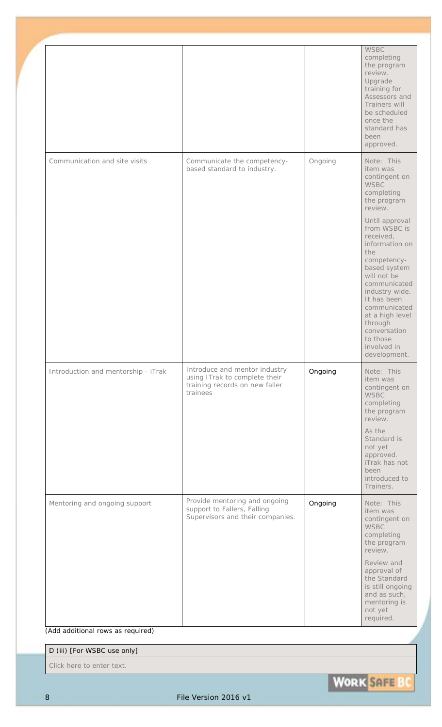|                                     |                                                                                                              |         | <b>WSBC</b><br>completing<br>the program<br>review.<br>Upgrade<br>training for<br>Assessors and<br>Trainers will<br>be scheduled<br>once the<br>standard has<br>been<br>approved.                                                                                            |
|-------------------------------------|--------------------------------------------------------------------------------------------------------------|---------|------------------------------------------------------------------------------------------------------------------------------------------------------------------------------------------------------------------------------------------------------------------------------|
| Communication and site visits       | Communicate the competency-<br>based standard to industry.                                                   | Ongoing | Note: This<br>item was<br>contingent on<br><b>WSBC</b><br>completing<br>the program<br>review.                                                                                                                                                                               |
|                                     |                                                                                                              |         | Until approval<br>from WSBC is<br>received,<br>information on<br>the<br>competency-<br>based system<br>will not be<br>communicated<br>industry wide.<br>It has been<br>communicated<br>at a high level<br>through<br>conversation<br>to those<br>involved in<br>development. |
| Introduction and mentorship - iTrak | Introduce and mentor industry<br>using ITrak to complete their<br>training records on new faller<br>trainees | Ongoing | Note: This<br>item was<br>contingent on<br><b>WSBC</b><br>completing<br>the program<br>review.                                                                                                                                                                               |
|                                     |                                                                                                              |         | As the<br>Standard is<br>not yet<br>approved.<br>iTrak has not<br>been<br>introduced to<br>Trainers.                                                                                                                                                                         |
| Mentoring and ongoing support       | Provide mentoring and ongoing<br>support to Fallers, Falling<br>Supervisors and their companies.             | Ongoing | Note: This<br>item was<br>contingent on<br><b>WSBC</b><br>completing<br>the program<br>review.                                                                                                                                                                               |
| (Add additional rows as required)   |                                                                                                              |         | Review and<br>approval of<br>the Standard<br>is still ongoing<br>and as such,<br>mentoring is<br>not yet<br>required.                                                                                                                                                        |

D (iii) [For WSBC use only]

Click here to enter text.

**WORK SAFE BC**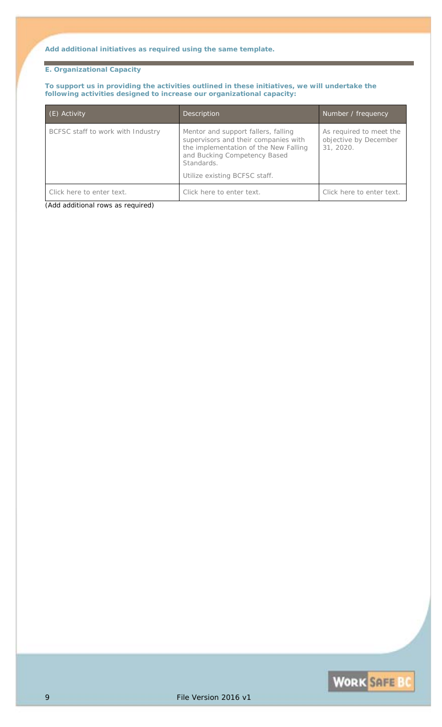**Add additional initiatives as required using the same template.** 

#### **E. Organizational Capacity**

**To support us in providing the activities outlined in these initiatives, we will undertake the following activities designed to increase our organizational capacity:** 

| (E) Activity                      | Description                                                                                                                                                                                         | Number / frequency                                            |
|-----------------------------------|-----------------------------------------------------------------------------------------------------------------------------------------------------------------------------------------------------|---------------------------------------------------------------|
| BCFSC staff to work with Industry | Mentor and support fallers, falling<br>supervisors and their companies with<br>the implementation of the New Falling<br>and Bucking Competency Based<br>Standards.<br>Utilize existing BCFSC staff. | As required to meet the<br>objective by December<br>31, 2020. |
| Click here to enter text.         | Click here to enter text.                                                                                                                                                                           | Click here to enter text.                                     |

(Add additional rows as required)

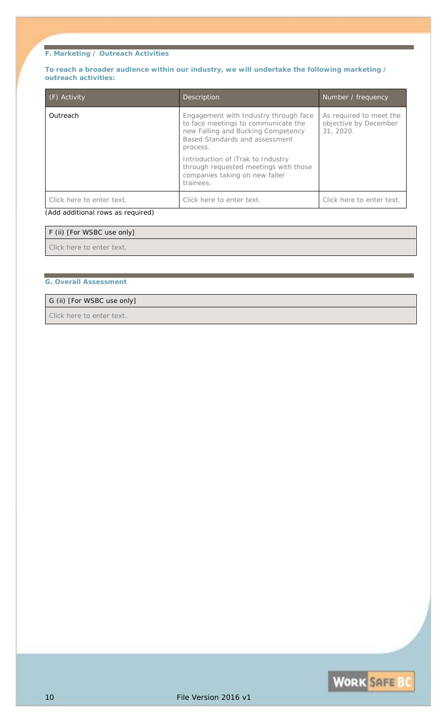#### **F. Marketing / Outreach Activities**

#### **To reach a broader audience within our industry, we will undertake the following marketing / outreach activities:**

| (F) Activity              | Description                                                                                                                                                      | Number / frequency                                            |
|---------------------------|------------------------------------------------------------------------------------------------------------------------------------------------------------------|---------------------------------------------------------------|
| Outreach                  | Engagement with Industry through face<br>to face meetings to communicate the<br>new Falling and Bucking Competency<br>Based Standards and assessment<br>process. | As required to meet the<br>objective by December<br>31, 2020. |
|                           | Introduction of iTrak to Industry<br>through requested meetings with those<br>companies taking on new faller<br>trainees.                                        |                                                               |
| Click here to enter text. | Click here to enter text.                                                                                                                                        | Click here to enter text.                                     |

#### (Add additional rows as required)

#### F (ii) [For WSBC use only]

Click here to enter text.

### **G. Overall Assessment**

# G (ii) [For WSBC use only]

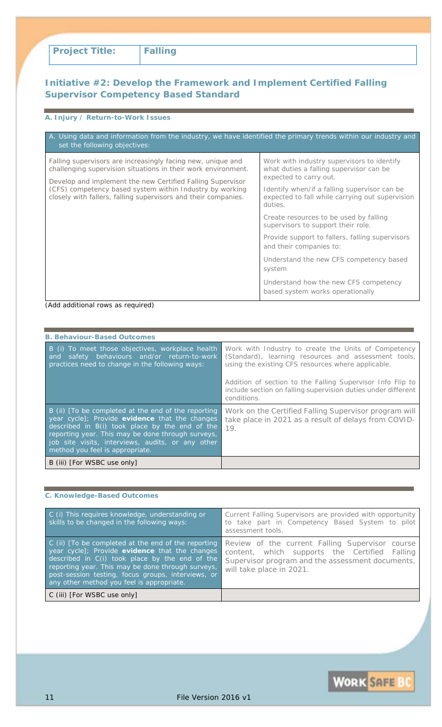# **Initiative #2: Develop the Framework and Implement Certified Falling Supervisor Competency Based Standard**

#### **A. Injury / Return-to-Work Issues**

#### A. Using data and information from the industry, we have identified the primary trends within our industry and set the following objectives:

| Falling supervisors are increasingly facing new, unique and<br>challenging supervision situations in their work environment.<br>Develop and implement the new Certified Falling Supervisor<br>(CFS) competency based system within Industry by working<br>closely with fallers, falling supervisors and their companies. | Work with industry supervisors to identify<br>what duties a falling supervisor can be<br>expected to carry out.<br>Identify when/if a falling supervisor can be<br>expected to fall while carrying out supervision<br>duties. |  |
|--------------------------------------------------------------------------------------------------------------------------------------------------------------------------------------------------------------------------------------------------------------------------------------------------------------------------|-------------------------------------------------------------------------------------------------------------------------------------------------------------------------------------------------------------------------------|--|
|                                                                                                                                                                                                                                                                                                                          | Create resources to be used by falling<br>supervisors to support their role.                                                                                                                                                  |  |
|                                                                                                                                                                                                                                                                                                                          | Provide support to fallers, falling supervisors<br>and their companies to:                                                                                                                                                    |  |
|                                                                                                                                                                                                                                                                                                                          | Understand the new CFS competency based<br>system                                                                                                                                                                             |  |
|                                                                                                                                                                                                                                                                                                                          | Understand how the new CFS competency<br>based system works operationally                                                                                                                                                     |  |

(Add additional rows as required)

| <b>B. Behaviour-Based Outcomes</b>                                                                                                                                                                                                                                                                   |                                                                                                                                                                    |
|------------------------------------------------------------------------------------------------------------------------------------------------------------------------------------------------------------------------------------------------------------------------------------------------------|--------------------------------------------------------------------------------------------------------------------------------------------------------------------|
| B (i) To meet those objectives, workplace health<br>safety behaviours and/or return-to-work<br>and<br>practices need to change in the following ways:                                                                                                                                                | Work with Industry to create the Units of Competency<br>(Standard), learning resources and assessment tools,<br>using the existing CFS resources where applicable. |
|                                                                                                                                                                                                                                                                                                      | Addition of section to the Falling Supervisor Info Flip to<br>include section on falling supervision duties under different<br>conditions.                         |
| B (ii) [To be completed at the end of the reporting<br>year cycle]; Provide evidence that the changes<br>described in B(i) took place by the end of the<br>reporting year. This may be done through surveys,<br>job site visits, interviews, audits, or any other<br>method you feel is appropriate. | Work on the Certified Falling Supervisor program will<br>take place in 2021 as a result of delays from COVID-<br>19.                                               |
| B (iii) [For WSBC use only]                                                                                                                                                                                                                                                                          |                                                                                                                                                                    |

#### **C. Knowledge-Based Outcomes**  C (i) This requires knowledge, understanding or skills to be changed in the following ways: Current Falling Supervisors are provided with opportunity to take part in Competency Based System to pilot assessment tools. C (ii) [To be completed at the end of the reporting year cycle]; Provide **evidence** that the changes described in C(i) took place by the end of the reporting year. This may be done through surveys, post-session testing, focus groups, interviews, or any other method you feel is appropriate. Review of the current Falling Supervisor course content, which supports the Certified Falling Supervisor program and the assessment documents, will take place in 2021. C (iii) [For WSBC use only]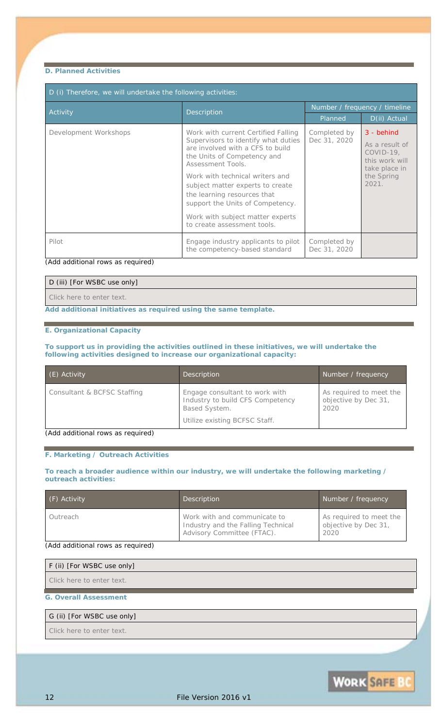#### **D. Planned Activities**

| D (i) Therefore, we will undertake the following activities: |                                                                                                                                                                                                                                                                                                                                                                                 |                               |                                                                                                       |  |
|--------------------------------------------------------------|---------------------------------------------------------------------------------------------------------------------------------------------------------------------------------------------------------------------------------------------------------------------------------------------------------------------------------------------------------------------------------|-------------------------------|-------------------------------------------------------------------------------------------------------|--|
| Activity                                                     | <b>Description</b>                                                                                                                                                                                                                                                                                                                                                              | Number / frequency / timeline |                                                                                                       |  |
|                                                              |                                                                                                                                                                                                                                                                                                                                                                                 | Planned                       | D(ii) Actual                                                                                          |  |
| Development Workshops                                        | Work with current Certified Falling<br>Supervisors to identify what duties<br>are involved with a CFS to build<br>the Units of Competency and<br>Assessment Tools.<br>Work with technical writers and<br>subject matter experts to create<br>the learning resources that<br>support the Units of Competency.<br>Work with subject matter experts<br>to create assessment tools. | Completed by<br>Dec 31, 2020  | 3 - behind<br>As a result of<br>$COVID-19.$<br>this work will<br>take place in<br>the Spring<br>2021. |  |
|                                                              |                                                                                                                                                                                                                                                                                                                                                                                 |                               |                                                                                                       |  |
| Pilot                                                        | Engage industry applicants to pilot<br>the competency-based standard                                                                                                                                                                                                                                                                                                            | Completed by<br>Dec 31, 2020  |                                                                                                       |  |

(Add additional rows as required)

#### D (iii) [For WSBC use only]

Click here to enter text.

**Add additional initiatives as required using the same template.** 

#### **E. Organizational Capacity**

#### **To support us in providing the activities outlined in these initiatives, we will undertake the following activities designed to increase our organizational capacity:**

| $(E)$ Activity              | Description                                                                                                          | Number / frequency                                      |
|-----------------------------|----------------------------------------------------------------------------------------------------------------------|---------------------------------------------------------|
| Consultant & BCFSC Staffing | Engage consultant to work with<br>Industry to build CFS Competency<br>Based System.<br>Utilize existing BCFSC Staff. | As required to meet the<br>objective by Dec 31,<br>2020 |

(Add additional rows as required)

**F. Marketing / Outreach Activities** 

#### **To reach a broader audience within our industry, we will undertake the following marketing / outreach activities:**

| (F) Activity | Description                                                                                      | Number / frequency                                      |
|--------------|--------------------------------------------------------------------------------------------------|---------------------------------------------------------|
| Outreach     | Work with and communicate to<br>Industry and the Falling Technical<br>Advisory Committee (FTAC). | As required to meet the<br>objective by Dec 31,<br>2020 |

#### (Add additional rows as required)

| F (ii) [For WSBC use only] |  |
|----------------------------|--|
| Click here to enter text.  |  |
|                            |  |

# **G. Overall Assessment**

#### G (ii) [For WSBC use only]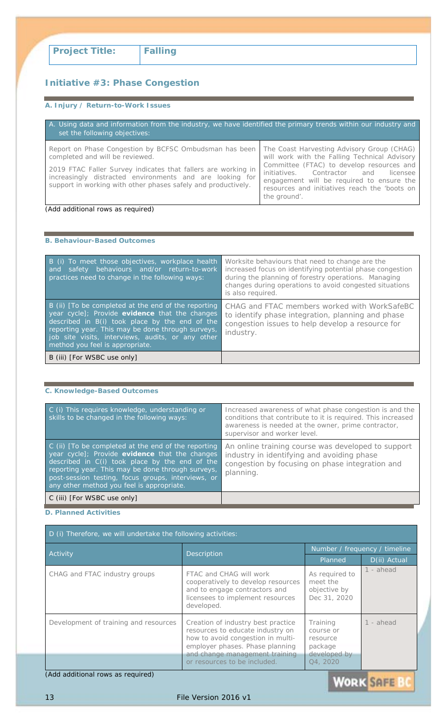# **Initiative #3: Phase Congestion**

#### **A. Injury / Return-to-Work Issues**

| A. Using data and information from the industry, we have identified the primary trends within our industry and |  |  |
|----------------------------------------------------------------------------------------------------------------|--|--|
| set the following objectives:                                                                                  |  |  |
|                                                                                                                |  |  |

| Report on Phase Congestion by BCFSC Ombudsman has been   The Coast Harvesting Advisory Group (CHAG)                                                                                        |                                                                                                                                                                                                 |
|--------------------------------------------------------------------------------------------------------------------------------------------------------------------------------------------|-------------------------------------------------------------------------------------------------------------------------------------------------------------------------------------------------|
| completed and will be reviewed.                                                                                                                                                            | will work with the Falling Technical Advisory                                                                                                                                                   |
| 2019 FTAC Faller Survey indicates that fallers are working in<br>increasingly distracted environments and are looking for<br>support in working with other phases safely and productively. | Committee (FTAC) to develop resources and<br>initiatives. Contractor and licensee<br>engagement will be required to ensure the<br>resources and initiatives reach the 'boots on<br>the ground'. |
|                                                                                                                                                                                            |                                                                                                                                                                                                 |

# (Add additional rows as required)

#### **B. Behaviour-Based Outcomes**

| B (i) To meet those objectives, workplace health<br>safety behaviours and/or return-to-work<br>and<br>practices need to change in the following ways:                                                                                                                                                | Worksite behaviours that need to change are the<br>increased focus on identifying potential phase congestion<br>during the planning of forestry operations. Managing<br>changes during operations to avoid congested situations<br>is also required. |
|------------------------------------------------------------------------------------------------------------------------------------------------------------------------------------------------------------------------------------------------------------------------------------------------------|------------------------------------------------------------------------------------------------------------------------------------------------------------------------------------------------------------------------------------------------------|
| B (ii) [To be completed at the end of the reporting<br>year cycle]; Provide evidence that the changes<br>described in B(i) took place by the end of the<br>reporting year. This may be done through surveys,<br>job site visits, interviews, audits, or any other<br>method you feel is appropriate. | CHAG and FTAC members worked with WorkSafeBC<br>to identify phase integration, planning and phase<br>congestion issues to help develop a resource for<br>industry.                                                                                   |
| B (iii) [For WSBC use only]                                                                                                                                                                                                                                                                          |                                                                                                                                                                                                                                                      |

#### **C. Knowledge-Based Outcomes**

| C (i) This requires knowledge, understanding or<br>skills to be changed in the following ways:                                                                                                                                                                                                                               | Increased awareness of what phase congestion is and the<br>conditions that contribute to it is required. This increased<br>awareness is needed at the owner, prime contractor,<br>supervisor and worker level. |
|------------------------------------------------------------------------------------------------------------------------------------------------------------------------------------------------------------------------------------------------------------------------------------------------------------------------------|----------------------------------------------------------------------------------------------------------------------------------------------------------------------------------------------------------------|
| $\overline{C}$ (ii) [To be completed at the end of the reporting<br>year cycle]; Provide evidence that the changes<br>described in C(i) took place by the end of the<br>reporting year. This may be done through surveys,<br>post-session testing, focus groups, interviews, or<br>any other method you feel is appropriate. | An online training course was developed to support<br>industry in identifying and avoiding phase<br>congestion by focusing on phase integration and<br>planning.                                               |
| C (iii) [For WSBC use only]                                                                                                                                                                                                                                                                                                  |                                                                                                                                                                                                                |

#### **D. Planned Activities**

| D (i) Therefore, we will undertake the following activities: |                                                                                                                                                                                                                  |                                                                          |                           |  |
|--------------------------------------------------------------|------------------------------------------------------------------------------------------------------------------------------------------------------------------------------------------------------------------|--------------------------------------------------------------------------|---------------------------|--|
| Activity                                                     | Description                                                                                                                                                                                                      | Number / frequency / timeline                                            |                           |  |
| CHAG and FTAC industry groups                                | FTAC and CHAG will work<br>cooperatively to develop resources<br>and to engage contractors and<br>licensees to implement resources<br>developed.                                                                 | Planned<br>As required to<br>meet the<br>objective by<br>Dec 31, 2020    | D(ii) Actual<br>1 - ahead |  |
| Development of training and resources                        | Creation of industry best practice<br>resources to educate industry on<br>how to avoid congestion in multi-<br>employer phases. Phase planning<br>and change management training<br>or resources to be included. | Training<br>course or<br>resource<br>package<br>developed by<br>Q4, 2020 | 1 - ahead                 |  |

(Add additional rows as required)

# **WORK SAFE BI**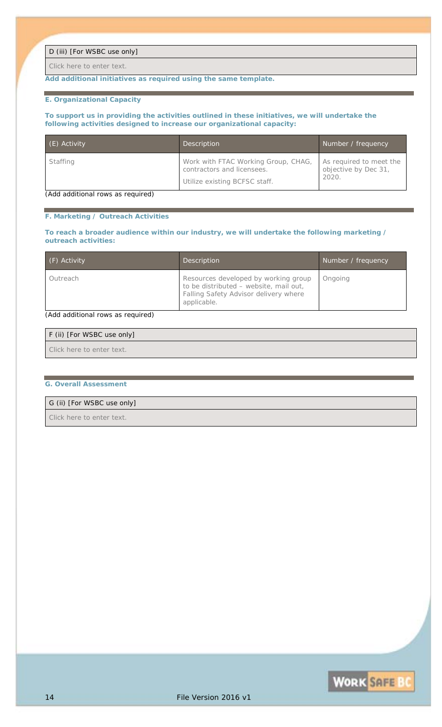D (iii) [For WSBC use only]

Click here to enter text.

**Add additional initiatives as required using the same template.** 

#### **E. Organizational Capacity**

#### **To support us in providing the activities outlined in these initiatives, we will undertake the following activities designed to increase our organizational capacity:**

| (E) Activity | <b>Description</b>                                                                                 | Number / frequency                                       |
|--------------|----------------------------------------------------------------------------------------------------|----------------------------------------------------------|
| Staffing     | Work with FTAC Working Group, CHAG,<br>contractors and licensees.<br>Utilize existing BCFSC staff. | As required to meet the<br>objective by Dec 31,<br>2020. |

(Add additional rows as required)

**F. Marketing / Outreach Activities** 

#### **To reach a broader audience within our industry, we will undertake the following marketing / outreach activities:**

| (F) Activity | <b>Description</b>                                                                                                                     | Number / frequency |
|--------------|----------------------------------------------------------------------------------------------------------------------------------------|--------------------|
| Outreach     | Resources developed by working group<br>to be distributed - website, mail out,<br>Falling Safety Advisor delivery where<br>applicable. | Ongoing            |

#### (Add additional rows as required)

| F (ii) [For WSBC use only] |  |
|----------------------------|--|
| Click here to enter text.  |  |

#### **G. Overall Assessment**

#### G (ii) [For WSBC use only]

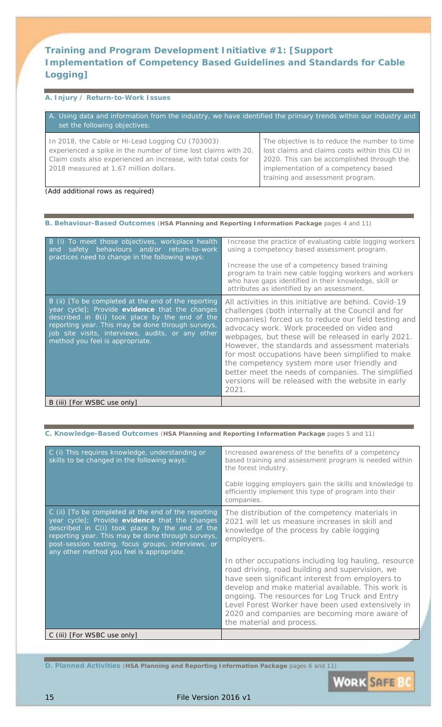# **Training and Program Development Initiative #1: [Support Implementation of Competency Based Guidelines and Standards for Cable Logging]**

# **A. Injury / Return-to-Work Issues**

| A. Using data and information from the industry, we have identified the primary trends within our industry and<br>set the following objectives:                                                                                 |                                                                                                                                                                                                                           |
|---------------------------------------------------------------------------------------------------------------------------------------------------------------------------------------------------------------------------------|---------------------------------------------------------------------------------------------------------------------------------------------------------------------------------------------------------------------------|
| In 2018, the Cable or Hi-Lead Logging CU (703003)<br>experienced a spike in the number of time lost claims with 20.<br>Claim costs also experienced an increase, with total costs for<br>2018 measured at 1.67 million dollars. | The objective is to reduce the number to time<br>lost claims and claims costs within this CU in<br>2020. This can be accomplished through the<br>implementation of a competency based<br>training and assessment program. |

#### (Add additional rows as required)

**B. Behaviour-Based Outcomes** (**HSA Planning and Reporting Information Package** pages 4 and 11)

| To meet those objectives, workplace health<br>B (i)<br>safety behaviours and/or return-to-work<br>and<br>practices need to change in the following ways:                                                                                                                                             | Increase the practice of evaluating cable logging workers<br>using a competency based assessment program.<br>Increase the use of a competency based training<br>program to train new cable logging workers and workers<br>who have gaps identified in their knowledge, skill or<br>attributes as identified by an assessment.                                                                                                                                                                                                                           |
|------------------------------------------------------------------------------------------------------------------------------------------------------------------------------------------------------------------------------------------------------------------------------------------------------|---------------------------------------------------------------------------------------------------------------------------------------------------------------------------------------------------------------------------------------------------------------------------------------------------------------------------------------------------------------------------------------------------------------------------------------------------------------------------------------------------------------------------------------------------------|
| B (ii) [To be completed at the end of the reporting<br>year cycle]; Provide evidence that the changes<br>described in B(i) took place by the end of the<br>reporting year. This may be done through surveys,<br>job site visits, interviews, audits, or any other<br>method you feel is appropriate. | All activities in this initiative are behind. Covid-19<br>challenges (both internally at the Council and for<br>companies) forced us to reduce our field testing and<br>advocacy work. Work proceeded on video and<br>webpages, but these will be released in early 2021.<br>However, the standards and assessment materials<br>for most occupations have been simplified to make<br>the competency system more user friendly and<br>better meet the needs of companies. The simplified<br>versions will be released with the website in early<br>2021. |
| B (iii) [For WSBC use only]                                                                                                                                                                                                                                                                          |                                                                                                                                                                                                                                                                                                                                                                                                                                                                                                                                                         |

| C. Knowledge-Based Outcomes (HSA Planning and Reporting Information Package pages 5 and 11)                                                                                                                                                                                                                     |                                                                                                                                                                                                                                                                                                                                                                                                       |  |
|-----------------------------------------------------------------------------------------------------------------------------------------------------------------------------------------------------------------------------------------------------------------------------------------------------------------|-------------------------------------------------------------------------------------------------------------------------------------------------------------------------------------------------------------------------------------------------------------------------------------------------------------------------------------------------------------------------------------------------------|--|
| C (i) This requires knowledge, understanding or<br>skills to be changed in the following ways:                                                                                                                                                                                                                  | Increased awareness of the benefits of a competency<br>based training and assessment program is needed within<br>the forest industry.                                                                                                                                                                                                                                                                 |  |
|                                                                                                                                                                                                                                                                                                                 | Cable logging employers gain the skills and knowledge to<br>efficiently implement this type of program into their<br>companies.                                                                                                                                                                                                                                                                       |  |
| C (ii) [To be completed at the end of the reporting<br>year cycle]; Provide evidence that the changes<br>described in C(i) took place by the end of the<br>reporting year. This may be done through surveys,<br>post-session testing, focus groups, interviews, or<br>any other method you feel is appropriate. | The distribution of the competency materials in<br>2021 will let us measure increases in skill and<br>knowledge of the process by cable logging<br>employers.                                                                                                                                                                                                                                         |  |
|                                                                                                                                                                                                                                                                                                                 | In other occupations including log hauling, resource<br>road driving, road building and supervision, we<br>have seen significant interest from employers to<br>develop and make material available. This work is<br>ongoing. The resources for Log Truck and Entry<br>Level Forest Worker have been used extensively in<br>2020 and companies are becoming more aware of<br>the material and process. |  |
| C (iii) [For WSBC use only]                                                                                                                                                                                                                                                                                     |                                                                                                                                                                                                                                                                                                                                                                                                       |  |

**D. Planned Activities** (**HSA Planning and Reporting Information Package** pages 6 and 11)

**WORK SAFE BC**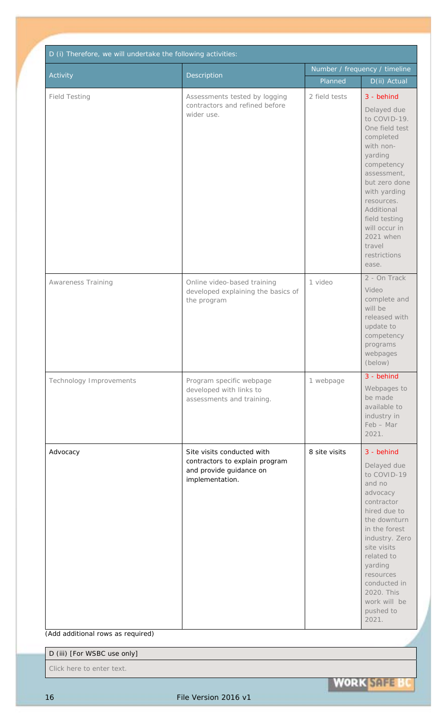| D (i) Therefore, we will undertake the following activities: |                                                                                                            |               |                                                                                                                                                                                                                                                                              |
|--------------------------------------------------------------|------------------------------------------------------------------------------------------------------------|---------------|------------------------------------------------------------------------------------------------------------------------------------------------------------------------------------------------------------------------------------------------------------------------------|
| Activity                                                     | Description                                                                                                |               | Number / frequency / timeline                                                                                                                                                                                                                                                |
|                                                              |                                                                                                            | Planned       | D(ii) Actual                                                                                                                                                                                                                                                                 |
| <b>Field Testing</b>                                         | Assessments tested by logging<br>contractors and refined before<br>wider use.                              | 2 field tests | 3 - behind<br>Delayed due<br>to COVID-19.<br>One field test<br>completed<br>with non-<br>yarding<br>competency<br>assessment,<br>but zero done<br>with yarding<br>resources.<br>Additional<br>field testing<br>will occur in<br>2021 when<br>travel<br>restrictions<br>ease. |
| <b>Awareness Training</b>                                    | Online video-based training<br>developed explaining the basics of<br>the program                           | 1 video       | 2 - On Track<br>Video<br>complete and<br>will be<br>released with<br>update to<br>competency<br>programs<br>webpages<br>(below)                                                                                                                                              |
| Technology Improvements                                      | Program specific webpage<br>developed with links to<br>assessments and training.                           | 1 webpage     | 3 - behind<br>Webpages to<br>be made<br>available to<br>industry in<br>$Feb - Mar$<br>2021.                                                                                                                                                                                  |
| Advocacy<br>(Add additional rows as required)                | Site visits conducted with<br>contractors to explain program<br>and provide guidance on<br>implementation. | 8 site visits | 3 - behind<br>Delayed due<br>to COVID-19<br>and no<br>advocacy<br>contractor<br>hired due to<br>the downturn<br>in the forest<br>industry. Zero<br>site visits<br>related to<br>yarding<br>resources<br>conducted in<br>2020. This<br>work will be<br>pushed to<br>2021.     |

D (iii) [For WSBC use only]

Click here to enter text.

WORK

**SAFE**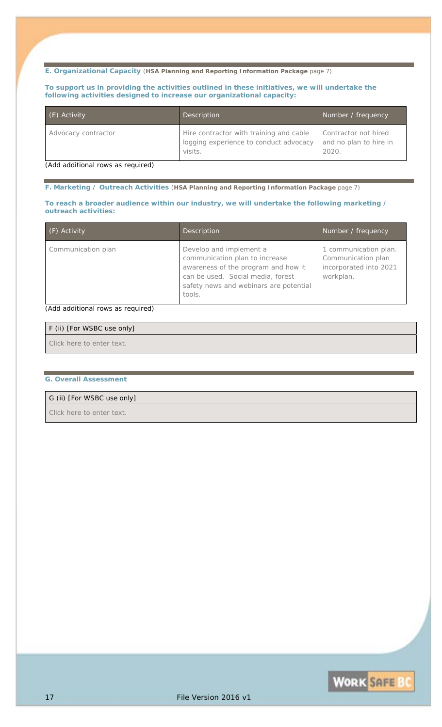#### **E. Organizational Capacity** (**HSA Planning and Reporting Information Package** page 7)

#### **To support us in providing the activities outlined in these initiatives, we will undertake the following activities designed to increase our organizational capacity:**

| (E) Activity        | <b>Description</b>                                                                           | Number / frequency                                      |
|---------------------|----------------------------------------------------------------------------------------------|---------------------------------------------------------|
| Advocacy contractor | Hire contractor with training and cable<br>logging experience to conduct advocacy<br>visits. | Contractor not hired<br>and no plan to hire in<br>2020. |

(Add additional rows as required)

**F. Marketing / Outreach Activities** (**HSA Planning and Reporting Information Package** page 7)

#### **To reach a broader audience within our industry, we will undertake the following marketing / outreach activities:**

| (F) Activity       | Description                                                                                                                                                                               | Number / frequency                                                                 |
|--------------------|-------------------------------------------------------------------------------------------------------------------------------------------------------------------------------------------|------------------------------------------------------------------------------------|
| Communication plan | Develop and implement a<br>communication plan to increase<br>awareness of the program and how it<br>can be used. Social media, forest<br>safety news and webinars are potential<br>tools. | 1 communication plan.<br>Communication plan<br>incorporated into 2021<br>workplan. |

#### (Add additional rows as required)

| F (ii) [For WSBC use only] |  |
|----------------------------|--|
| Click here to enter text.  |  |

#### **G. Overall Assessment**

#### G (ii) [For WSBC use only]

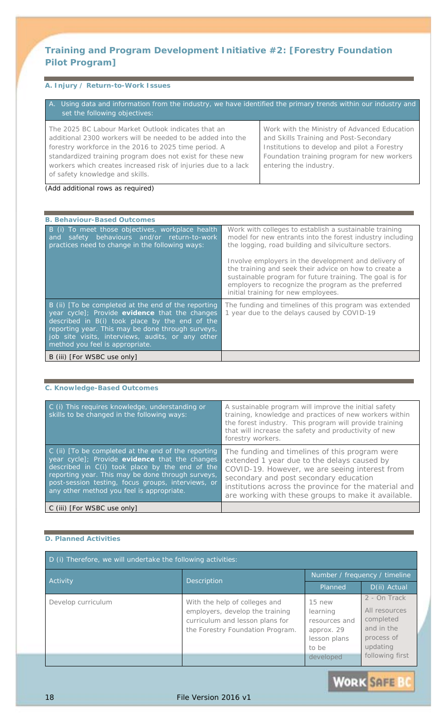# **Training and Program Development Initiative #2: [Forestry Foundation Pilot Program]**

| A. Injury / Return-to-Work Issues<br>A. Using data and information from the industry, we have identified the primary trends within our industry and<br>set the following objectives:                                                                                                                                                           |                                                                                                                                                                                                                 |
|------------------------------------------------------------------------------------------------------------------------------------------------------------------------------------------------------------------------------------------------------------------------------------------------------------------------------------------------|-----------------------------------------------------------------------------------------------------------------------------------------------------------------------------------------------------------------|
| The 2025 BC Labour Market Outlook indicates that an<br>additional 2300 workers will be needed to be added into the<br>forestry workforce in the 2016 to 2025 time period. A<br>standardized training program does not exist for these new<br>workers which creates increased risk of injuries due to a lack<br>of safety knowledge and skills. | Work with the Ministry of Advanced Education<br>and Skills Training and Post-Secondary<br>Institutions to develop and pilot a Forestry<br>Foundation training program for new workers<br>entering the industry. |

#### (Add additional rows as required)

| <b>B. Behaviour-Based Outcomes</b>                                                                                                                                                                                                                                                                   |                                                                                                                                                                                                                                                                         |
|------------------------------------------------------------------------------------------------------------------------------------------------------------------------------------------------------------------------------------------------------------------------------------------------------|-------------------------------------------------------------------------------------------------------------------------------------------------------------------------------------------------------------------------------------------------------------------------|
| To meet those objectives, workplace health<br>B (i)<br>safety behaviours and/or return-to-work<br>and<br>practices need to change in the following ways:                                                                                                                                             | Work with colleges to establish a sustainable training<br>model for new entrants into the forest industry including<br>the logging, road building and silviculture sectors.                                                                                             |
|                                                                                                                                                                                                                                                                                                      | Involve employers in the development and delivery of<br>the training and seek their advice on how to create a<br>sustainable program for future training. The goal is for<br>employers to recognize the program as the preferred<br>initial training for new employees. |
| B (ii) [To be completed at the end of the reporting<br>year cycle]; Provide evidence that the changes<br>described in B(i) took place by the end of the<br>reporting year. This may be done through surveys,<br>job site visits, interviews, audits, or any other<br>method you feel is appropriate. | The funding and timelines of this program was extended<br>1 year due to the delays caused by COVID-19                                                                                                                                                                   |
| B (iii) [For WSBC use only]                                                                                                                                                                                                                                                                          |                                                                                                                                                                                                                                                                         |

#### **C. Knowledge-Based Outcomes**  C (i) This requires knowledge, understanding or skills to be changed in the following ways: A sustainable program will improve the initial safety training, knowledge and practices of new workers within the forest industry. This program will provide training that will increase the safety and productivity of new forestry workers. C (ii) [To be completed at the end of the reporting year cycle]; Provide **evidence** that the changes described in C(i) took place by the end of the reporting year. This may be done through surveys, post-session testing, focus groups, interviews, or any other method you feel is appropriate. The funding and timelines of this program were extended 1 year due to the delays caused by COVID-19. However, we are seeing interest from secondary and post secondary education institutions across the province for the material and are working with these groups to make it available. C (iii) [For WSBC use only]

#### **D. Planned Activities**

| D (i) Therefore, we will undertake the following activities: |                                                                                                                                         |                                                                                         |                                                                                                       |
|--------------------------------------------------------------|-----------------------------------------------------------------------------------------------------------------------------------------|-----------------------------------------------------------------------------------------|-------------------------------------------------------------------------------------------------------|
| Activity                                                     | <b>Description</b>                                                                                                                      |                                                                                         | Number / frequency / timeline                                                                         |
|                                                              |                                                                                                                                         | Planned                                                                                 | D(ii) Actual                                                                                          |
| Develop curriculum                                           | With the help of colleges and<br>employers, develop the training<br>curriculum and lesson plans for<br>the Forestry Foundation Program. | 15 new<br>learning<br>resources and<br>approx. 29<br>lesson plans<br>to be<br>developed | 2 - On Track<br>All resources<br>completed<br>and in the<br>process of<br>updating<br>following first |



#### 18 File Version 2016 v1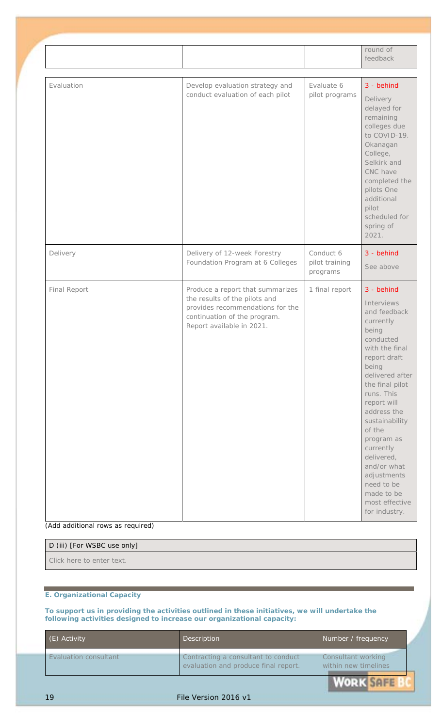|              |                                                                                                                                                                    |                                         | round of<br>feedback                                                                                                                                                                                                                                                                                                                                                       |
|--------------|--------------------------------------------------------------------------------------------------------------------------------------------------------------------|-----------------------------------------|----------------------------------------------------------------------------------------------------------------------------------------------------------------------------------------------------------------------------------------------------------------------------------------------------------------------------------------------------------------------------|
|              |                                                                                                                                                                    |                                         |                                                                                                                                                                                                                                                                                                                                                                            |
| Evaluation   | Develop evaluation strategy and<br>conduct evaluation of each pilot                                                                                                | Evaluate 6<br>pilot programs            | 3 - behind<br>Delivery<br>delayed for<br>remaining<br>colleges due<br>to COVID-19.<br>Okanagan<br>College,<br>Selkirk and<br>CNC have<br>completed the<br>pilots One<br>additional<br>pilot<br>scheduled for<br>spring of<br>2021.                                                                                                                                         |
| Delivery     | Delivery of 12-week Forestry<br>Foundation Program at 6 Colleges                                                                                                   | Conduct 6<br>pilot training<br>programs | 3 - behind<br>See above                                                                                                                                                                                                                                                                                                                                                    |
| Final Report | Produce a report that summarizes<br>the results of the pilots and<br>provides recommendations for the<br>continuation of the program.<br>Report available in 2021. | 1 final report                          | 3 - behind<br>Interviews<br>and feedback<br>currently<br>being<br>conducted<br>with the final<br>report draft<br>being<br>delivered after<br>the final pilot<br>runs. This<br>report will<br>address the<br>sustainability<br>of the<br>program as<br>currently<br>delivered,<br>and/or what<br>adjustments<br>need to be<br>made to be<br>most effective<br>for industry. |

#### (Add additional rows as required)

| D (iii) [For WSBC use only] |
|-----------------------------|
| Click here to enter text.   |

### **E. Organizational Capacity**

**To support us in providing the activities outlined in these initiatives, we will undertake the following activities designed to increase our organizational capacity:** 

| (E) Activity                 | Description                                                                 | Number / frequency                         |
|------------------------------|-----------------------------------------------------------------------------|--------------------------------------------|
| <b>Evaluation consultant</b> | Contracting a consultant to conduct<br>evaluation and produce final report. | Consultant working<br>within new timelines |
|                              |                                                                             | <b>WORK SAFE</b>                           |

#### 19 File Version 2016 v1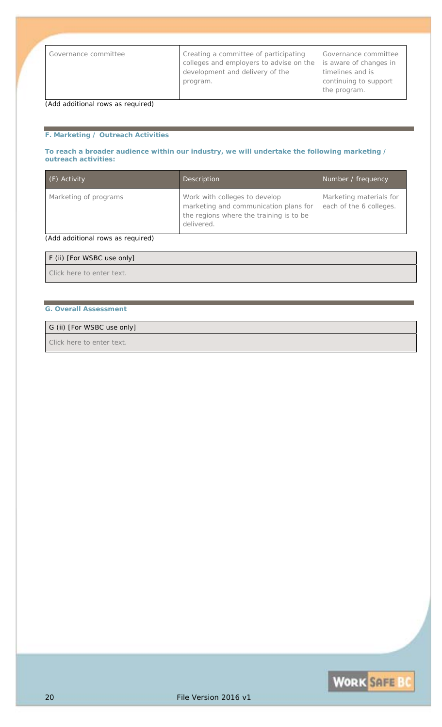| Governance committee | Creating a committee of participating<br>colleges and employers to advise on the<br>development and delivery of the<br>program. | Governance committee<br>is aware of changes in<br>timelines and is<br>continuing to support<br>the program. |
|----------------------|---------------------------------------------------------------------------------------------------------------------------------|-------------------------------------------------------------------------------------------------------------|
|----------------------|---------------------------------------------------------------------------------------------------------------------------------|-------------------------------------------------------------------------------------------------------------|

#### **F. Marketing / Outreach Activities**

#### **To reach a broader audience within our industry, we will undertake the following marketing / outreach activities:**

| $(F)$ Activity        | Description                                                                                                                     | Number / frequency                                 |
|-----------------------|---------------------------------------------------------------------------------------------------------------------------------|----------------------------------------------------|
| Marketing of programs | Work with colleges to develop<br>marketing and communication plans for<br>the regions where the training is to be<br>delivered. | Marketing materials for<br>each of the 6 colleges. |

#### (Add additional rows as required)

| F (ii) [For WSBC use only] |  |
|----------------------------|--|
| Click here to enter text.  |  |

#### **G. Overall Assessment**

#### G (ii) [For WSBC use only]

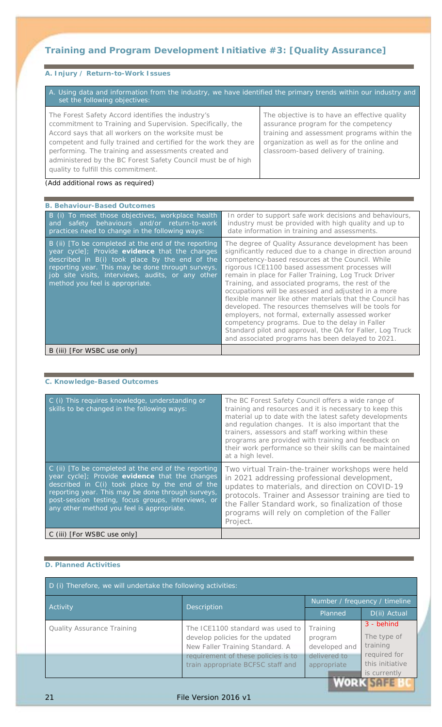# **Training and Program Development Initiative #3: [Quality Assurance]**

#### **A. Injury / Return-to-Work Issues**

| A. Using data and information from the industry, we have identified the primary trends within our industry and<br>set the following objectives:                                                                                                                                                                                                                                                            |                                                                                                                                                                                                                             |  |
|------------------------------------------------------------------------------------------------------------------------------------------------------------------------------------------------------------------------------------------------------------------------------------------------------------------------------------------------------------------------------------------------------------|-----------------------------------------------------------------------------------------------------------------------------------------------------------------------------------------------------------------------------|--|
| The Forest Safety Accord identifies the industry's<br>ccommitment to Training and Supervision. Specifically, the<br>Accord says that all workers on the worksite must be<br>competent and fully trained and certified for the work they are<br>performing. The training and assessments created and<br>administered by the BC Forest Safety Council must be of high<br>quality to fulfill this commitment. | The objective is to have an effective quality<br>assurance program for the competency<br>training and assessment programs within the<br>organization as well as for the online and<br>classroom-based delivery of training. |  |

### (Add additional rows as required)

| <b>B. Behaviour-Based Outcomes</b>                                                                                                                                                                                                                                                                   |                                                                                                                                                                                                                                                                                                                                                                                                                                                                                                                                                                                                                                                                                                                                                 |
|------------------------------------------------------------------------------------------------------------------------------------------------------------------------------------------------------------------------------------------------------------------------------------------------------|-------------------------------------------------------------------------------------------------------------------------------------------------------------------------------------------------------------------------------------------------------------------------------------------------------------------------------------------------------------------------------------------------------------------------------------------------------------------------------------------------------------------------------------------------------------------------------------------------------------------------------------------------------------------------------------------------------------------------------------------------|
| To meet those objectives, workplace health<br>B (i)<br>safety behaviours and/or return-to-work<br>and<br>practices need to change in the following ways:                                                                                                                                             | In order to support safe work decisions and behaviours,<br>industry must be provided with high quality and up to<br>date information in training and assessments.                                                                                                                                                                                                                                                                                                                                                                                                                                                                                                                                                                               |
| B (ii) [To be completed at the end of the reporting<br>year cycle]; Provide evidence that the changes<br>described in B(i) took place by the end of the<br>reporting year. This may be done through surveys,<br>job site visits, interviews, audits, or any other<br>method you feel is appropriate. | The degree of Quality Assurance development has been<br>significantly reduced due to a change in direction around<br>competency-based resources at the Council. While<br>rigorous ICE1100 based assessment processes will<br>remain in place for Faller Training, Log Truck Driver<br>Training, and associated programs, the rest of the<br>occupations will be assessed and adjusted in a more<br>flexible manner like other materials that the Council has<br>developed. The resources themselves will be tools for<br>employers, not formal, externally assessed worker<br>competency programs. Due to the delay in Faller<br>Standard pilot and approval, the QA for Faller, Log Truck<br>and associated programs has been delayed to 2021. |
| B (iii) [For WSBC use only]                                                                                                                                                                                                                                                                          |                                                                                                                                                                                                                                                                                                                                                                                                                                                                                                                                                                                                                                                                                                                                                 |

### **C. Knowledge-Based Outcomes**

| C (i) This requires knowledge, understanding or<br>skills to be changed in the following ways:                                                                                                                                                                                                                  | The BC Forest Safety Council offers a wide range of<br>training and resources and it is necessary to keep this<br>material up to date with the latest safety developments<br>and regulation changes. It is also important that the<br>trainers, assessors and staff working within these<br>programs are provided with training and feedback on<br>their work performance so their skills can be maintained<br>at a high level. |
|-----------------------------------------------------------------------------------------------------------------------------------------------------------------------------------------------------------------------------------------------------------------------------------------------------------------|---------------------------------------------------------------------------------------------------------------------------------------------------------------------------------------------------------------------------------------------------------------------------------------------------------------------------------------------------------------------------------------------------------------------------------|
| C (ii) [To be completed at the end of the reporting<br>year cycle]; Provide evidence that the changes<br>described in C(i) took place by the end of the<br>reporting year. This may be done through surveys,<br>post-session testing, focus groups, interviews, or<br>any other method you feel is appropriate. | Two virtual Train-the-trainer workshops were held<br>in 2021 addressing professional development,<br>updates to materials, and direction on COVID-19<br>protocols. Trainer and Assessor training are tied to<br>the Faller Standard work, so finalization of those<br>programs will rely on completion of the Faller<br>Project.                                                                                                |
| C (iii) [For WSBC use only]                                                                                                                                                                                                                                                                                     |                                                                                                                                                                                                                                                                                                                                                                                                                                 |

#### **D. Planned Activities**

| D (i) Therefore, we will undertake the following activities: |                                                                                                         |                                      |                                                 |
|--------------------------------------------------------------|---------------------------------------------------------------------------------------------------------|--------------------------------------|-------------------------------------------------|
|                                                              |                                                                                                         | Number / frequency / timeline        |                                                 |
| Activity                                                     | <b>Description</b>                                                                                      | Planned                              | D(ii) Actual                                    |
| <b>Quality Assurance Training</b>                            | The ICE1100 standard was used to<br>develop policies for the updated<br>New Faller Training Standard. A | Training<br>program<br>developed and | 3 - behind<br>The type of<br>training           |
|                                                              | requirement of these policies is to<br>train appropriate BCFSC staff and                                | delivered to<br>appropriate          | required for<br>this initiative<br>is currently |
| SOFF                                                         |                                                                                                         |                                      |                                                 |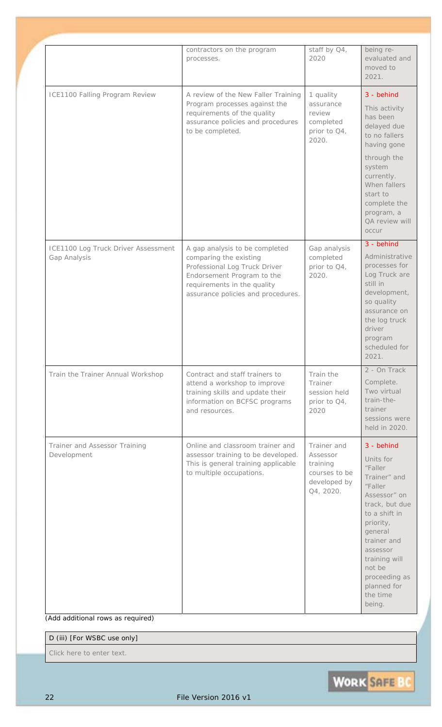|                                                     | contractors on the program<br>processes.                                                                                                                                                     | staff by Q4,<br>2020                                                              | being re-<br>evaluated and<br>moved to<br>2021.                                                                                                                                                                                                      |
|-----------------------------------------------------|----------------------------------------------------------------------------------------------------------------------------------------------------------------------------------------------|-----------------------------------------------------------------------------------|------------------------------------------------------------------------------------------------------------------------------------------------------------------------------------------------------------------------------------------------------|
| ICE1100 Falling Program Review                      | A review of the New Faller Training<br>Program processes against the<br>requirements of the quality<br>assurance policies and procedures<br>to be completed.                                 | 1 quality<br>assurance<br>review<br>completed<br>prior to Q4,<br>2020.            | 3 - behind<br>This activity<br>has been<br>delayed due<br>to no fallers<br>having gone<br>through the<br>system<br>currently.<br>When fallers<br>start to<br>complete the<br>program, a                                                              |
|                                                     |                                                                                                                                                                                              |                                                                                   | QA review will<br>occur<br>3 - behind                                                                                                                                                                                                                |
| ICE1100 Log Truck Driver Assessment<br>Gap Analysis | A gap analysis to be completed<br>comparing the existing<br>Professional Log Truck Driver<br>Endorsement Program to the<br>requirements in the quality<br>assurance policies and procedures. | Gap analysis<br>completed<br>prior to Q4,<br>2020.                                | Administrative<br>processes for<br>Log Truck are<br>still in<br>development,<br>so quality<br>assurance on<br>the log truck<br>driver<br>program<br>scheduled for<br>2021.                                                                           |
| Train the Trainer Annual Workshop                   | Contract and staff trainers to<br>attend a workshop to improve<br>training skills and update their<br>information on BCFSC programs<br>and resources.                                        | Train the<br>Trainer<br>session held<br>prior to $Q4$ ,<br>2020                   | 2 - On Track<br>Complete.<br>Two virtual<br>train-the-<br>trainer<br>sessions were<br>held in 2020.                                                                                                                                                  |
| Trainer and Assessor Training<br>Development        | Online and classroom trainer and<br>assessor training to be developed.<br>This is general training applicable<br>to multiple occupations.                                                    | Trainer and<br>Assessor<br>training<br>courses to be<br>developed by<br>Q4, 2020. | 3 - behind<br>Units for<br>"Faller<br>Trainer" and<br>"Faller<br>Assessor" on<br>track, but due<br>to a shift in<br>priority,<br>general<br>trainer and<br>assessor<br>training will<br>not be<br>proceeding as<br>planned for<br>the time<br>being. |

# D (iii) [For WSBC use only]

Click here to enter text.

WORK SAFE BC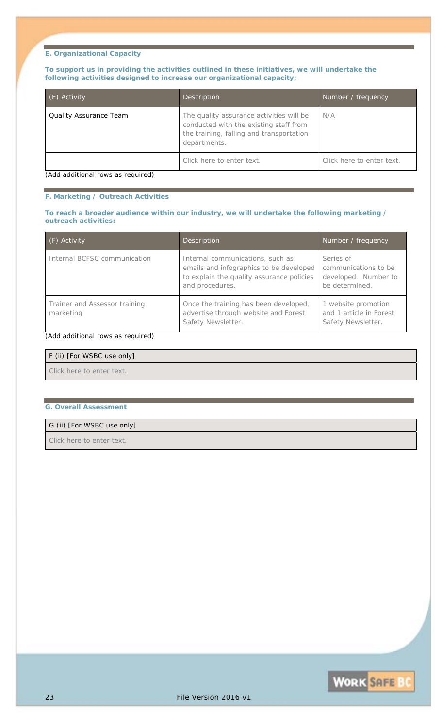#### **E. Organizational Capacity**

#### **To support us in providing the activities outlined in these initiatives, we will undertake the following activities designed to increase our organizational capacity:**

| (E) Activity                        | Description                                                                                                                                    | Number / frequency        |
|-------------------------------------|------------------------------------------------------------------------------------------------------------------------------------------------|---------------------------|
| Quality Assurance Team              | The quality assurance activities will be<br>conducted with the existing staff from<br>the training, falling and transportation<br>departments. | N/A                       |
| $(Add$ additional rows as required) | Click here to enter text.                                                                                                                      | Click here to enter text. |

(Add additional rows as required)

#### **F. Marketing / Outreach Activities**

#### **To reach a broader audience within our industry, we will undertake the following marketing / outreach activities:**

| (F) Activity                               | Description                                                                                                                                 | Number / frequency                                                          |
|--------------------------------------------|---------------------------------------------------------------------------------------------------------------------------------------------|-----------------------------------------------------------------------------|
| Internal BCFSC communication               | Internal communications, such as<br>emails and infographics to be developed<br>to explain the quality assurance policies<br>and procedures. | Series of<br>communications to be<br>developed. Number to<br>be determined. |
| Trainer and Assessor training<br>marketing | Once the training has been developed,<br>advertise through website and Forest<br>Safety Newsletter.                                         | 1 website promotion<br>and 1 article in Forest<br>Safety Newsletter.        |

#### (Add additional rows as required)

| F (ii) [For WSBC use only] |  |
|----------------------------|--|
| Click here to enter text.  |  |

#### **G. Overall Assessment**

#### G (ii) [For WSBC use only]

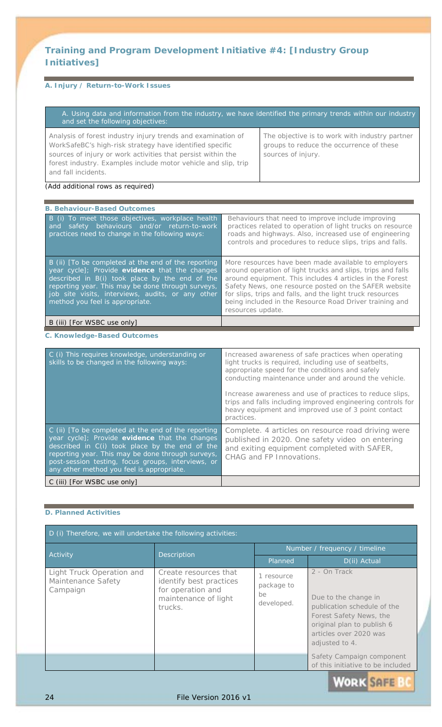# **Training and Program Development Initiative #4: [Industry Group Initiatives]**

### **A. Injury / Return-to-Work Issues**

| A. Using data and information from the industry, we have identified the primary trends within our industry<br>and set the following objectives:                                                                                                                                   |                                                                                                                  |  |
|-----------------------------------------------------------------------------------------------------------------------------------------------------------------------------------------------------------------------------------------------------------------------------------|------------------------------------------------------------------------------------------------------------------|--|
| Analysis of forest industry injury trends and examination of<br>WorkSafeBC's high-risk strategy have identified specific<br>sources of injury or work activities that persist within the<br>forest industry. Examples include motor vehicle and slip, trip<br>and fall incidents. | The objective is to work with industry partner<br>groups to reduce the occurrence of these<br>sources of injury. |  |

#### (Add additional rows as required)

| <b>B. Behaviour-Based Outcomes</b>                                                                                                                                                                                                                                                                   |                                                                                                                                                                                                                                                                                                                                                                                       |  |  |
|------------------------------------------------------------------------------------------------------------------------------------------------------------------------------------------------------------------------------------------------------------------------------------------------------|---------------------------------------------------------------------------------------------------------------------------------------------------------------------------------------------------------------------------------------------------------------------------------------------------------------------------------------------------------------------------------------|--|--|
| B (i) To meet those objectives, workplace health<br>safety behaviours and/or return-to-work<br>and<br>practices need to change in the following ways:                                                                                                                                                | Behaviours that need to improve include improving<br>practices related to operation of light trucks on resource<br>roads and highways. Also, increased use of engineering<br>controls and procedures to reduce slips, trips and falls.                                                                                                                                                |  |  |
| B (ii) [To be completed at the end of the reporting<br>year cycle]; Provide evidence that the changes<br>described in B(i) took place by the end of the<br>reporting year. This may be done through surveys,<br>job site visits, interviews, audits, or any other<br>method you feel is appropriate. | More resources have been made available to employers<br>around operation of light trucks and slips, trips and falls<br>around equipment. This includes 4 articles in the Forest<br>Safety News, one resource posted on the SAFER website<br>for slips, trips and falls, and the light truck resources<br>being included in the Resource Road Driver training and<br>resources update. |  |  |
| B (iii) [For WSBC use only]                                                                                                                                                                                                                                                                          |                                                                                                                                                                                                                                                                                                                                                                                       |  |  |
| <b>C. Knowledge-Based Outcomes</b>                                                                                                                                                                                                                                                                   |                                                                                                                                                                                                                                                                                                                                                                                       |  |  |

| C (i) This requires knowledge, understanding or<br>skills to be changed in the following ways:                                                                                                                                                                                                                  | Increased awareness of safe practices when operating<br>light trucks is required, including use of seatbelts,<br>appropriate speed for the conditions and safely<br>conducting maintenance under and around the vehicle.<br>Increase awareness and use of practices to reduce slips,<br>trips and falls including improved engineering controls for<br>heavy equipment and improved use of 3 point contact<br>practices. |
|-----------------------------------------------------------------------------------------------------------------------------------------------------------------------------------------------------------------------------------------------------------------------------------------------------------------|--------------------------------------------------------------------------------------------------------------------------------------------------------------------------------------------------------------------------------------------------------------------------------------------------------------------------------------------------------------------------------------------------------------------------|
| C (ii) [To be completed at the end of the reporting<br>year cycle]; Provide evidence that the changes<br>described in C(i) took place by the end of the<br>reporting year. This may be done through surveys,<br>post-session testing, focus groups, interviews, or<br>any other method you feel is appropriate. | Complete. 4 articles on resource road driving were<br>published in 2020. One safety video on entering<br>and exiting equipment completed with SAFER,<br>CHAG and FP Innovations.                                                                                                                                                                                                                                         |
| C (iii) [For WSBC use only]                                                                                                                                                                                                                                                                                     |                                                                                                                                                                                                                                                                                                                                                                                                                          |

#### **D. Planned Activities**

| D (i) Therefore, we will undertake the following activities: |                                                                                                          |                                              |                                                                                                                                                                                                                                            |  |
|--------------------------------------------------------------|----------------------------------------------------------------------------------------------------------|----------------------------------------------|--------------------------------------------------------------------------------------------------------------------------------------------------------------------------------------------------------------------------------------------|--|
| Activity                                                     | Description                                                                                              |                                              | Number / frequency / timeline                                                                                                                                                                                                              |  |
|                                                              |                                                                                                          | Planned                                      | D(ii) Actual                                                                                                                                                                                                                               |  |
| Light Truck Operation and<br>Maintenance Safety<br>Campaign  | Create resources that<br>identify best practices<br>for operation and<br>maintenance of light<br>trucks. | 1 resource<br>package to<br>be<br>developed. | 2 - On Track<br>Due to the change in<br>publication schedule of the<br>Forest Safety News, the<br>original plan to publish 6<br>articles over 2020 was<br>adjusted to 4.<br>Safety Campaign component<br>of this initiative to be included |  |

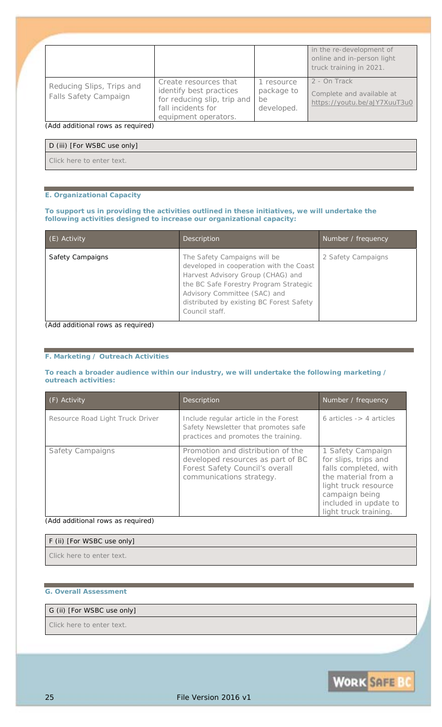|                                                    |                                                                                                                               |                                              | in the re-development of<br>online and in-person light<br>truck training in 2021. |
|----------------------------------------------------|-------------------------------------------------------------------------------------------------------------------------------|----------------------------------------------|-----------------------------------------------------------------------------------|
| Reducing Slips, Trips and<br>Falls Safety Campaign | Create resources that<br>identify best practices<br>for reducing slip, trip and<br>fall incidents for<br>equipment operators. | 1 resource<br>package to<br>be<br>developed. | 2 - On Track<br>Complete and available at<br>https://youtu.be/aJY7XuuT3u0         |

#### (Add additional rows as required)

#### D (iii) [For WSBC use only]

Click here to enter text.

#### **E. Organizational Capacity**

#### **To support us in providing the activities outlined in these initiatives, we will undertake the following activities designed to increase our organizational capacity:**

| (E) Activity     | <b>Description</b>                                                                                                                                                                                                                                   | Number / frequency |
|------------------|------------------------------------------------------------------------------------------------------------------------------------------------------------------------------------------------------------------------------------------------------|--------------------|
| Safety Campaigns | The Safety Campaigns will be<br>developed in cooperation with the Coast<br>Harvest Advisory Group (CHAG) and<br>the BC Safe Forestry Program Strategic<br>Advisory Committee (SAC) and<br>distributed by existing BC Forest Safety<br>Council staff. | 2 Safety Campaigns |

(Add additional rows as required)

#### **F. Marketing / Outreach Activities**

#### **To reach a broader audience within our industry, we will undertake the following marketing / outreach activities:**

| (F) Activity                     | Description                                                                                                                           | Number / frequency                                                                                                                                                                    |
|----------------------------------|---------------------------------------------------------------------------------------------------------------------------------------|---------------------------------------------------------------------------------------------------------------------------------------------------------------------------------------|
| Resource Road Light Truck Driver | Include regular article in the Forest<br>Safety Newsletter that promotes safe<br>practices and promotes the training.                 | 6 articles $-$ 4 articles                                                                                                                                                             |
| <b>Safety Campaigns</b>          | Promotion and distribution of the<br>developed resources as part of BC<br>Forest Safety Council's overall<br>communications strategy. | 1 Safety Campaign<br>for slips, trips and<br>falls completed, with<br>the material from a<br>light truck resource<br>campaign being<br>included in update to<br>light truck training. |

#### (Add additional rows as required)

| F (ii) [For WSBC use only] |
|----------------------------|
| Click here to enter text.  |

#### **G. Overall Assessment**

#### G (ii) [For WSBC use only]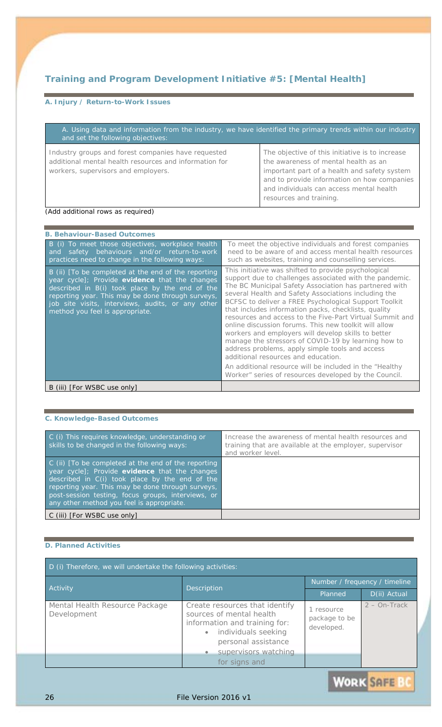# **Training and Program Development Initiative #5: [Mental Health]**

#### **A. Injury / Return-to-Work Issues**

**College** 

| A. Using data and information from the industry, we have identified the primary trends within our industry<br>and set the following objectives:      |                                                                                                                                                                                                                                                               |  |
|------------------------------------------------------------------------------------------------------------------------------------------------------|---------------------------------------------------------------------------------------------------------------------------------------------------------------------------------------------------------------------------------------------------------------|--|
| Industry groups and forest companies have requested<br>additional mental health resources and information for<br>workers, supervisors and employers. | The objective of this initiative is to increase<br>the awareness of mental health as an<br>important part of a health and safety system<br>and to provide information on how companies<br>and individuals can access mental health<br>resources and training. |  |

(Add additional rows as required)

| <b>B. Behaviour-Based Outcomes</b>                                                                                                                                                                                                                                                                   |                                                                                                                                                                                                                                                                                                                                                                                                                                                                                                                                                                                                                                                                                                                                                                                                     |
|------------------------------------------------------------------------------------------------------------------------------------------------------------------------------------------------------------------------------------------------------------------------------------------------------|-----------------------------------------------------------------------------------------------------------------------------------------------------------------------------------------------------------------------------------------------------------------------------------------------------------------------------------------------------------------------------------------------------------------------------------------------------------------------------------------------------------------------------------------------------------------------------------------------------------------------------------------------------------------------------------------------------------------------------------------------------------------------------------------------------|
| B (i) To meet those objectives, workplace health<br>safety behaviours and/or return-to-work<br>and<br>practices need to change in the following ways:                                                                                                                                                | To meet the objective individuals and forest companies<br>need to be aware of and access mental health resources<br>such as websites, training and counselling services.                                                                                                                                                                                                                                                                                                                                                                                                                                                                                                                                                                                                                            |
| B (ii) [To be completed at the end of the reporting<br>year cycle]; Provide evidence that the changes<br>described in B(i) took place by the end of the<br>reporting year. This may be done through surveys,<br>job site visits, interviews, audits, or any other<br>method you feel is appropriate. | This initiative was shifted to provide psychological<br>support due to challenges associated with the pandemic.<br>The BC Municipal Safety Association has partnered with<br>several Health and Safety Associations including the<br>BCFSC to deliver a FREE Psychological Support Toolkit<br>that includes information packs, checklists, quality<br>resources and access to the Five-Part Virtual Summit and<br>online discussion forums. This new toolkit will allow<br>workers and employers will develop skills to better<br>manage the stressors of COVID-19 by learning how to<br>address problems, apply simple tools and access<br>additional resources and education.<br>An additional resource will be included in the "Healthy<br>Worker" series of resources developed by the Council. |
| B (iii) [For WSBC use only]                                                                                                                                                                                                                                                                          |                                                                                                                                                                                                                                                                                                                                                                                                                                                                                                                                                                                                                                                                                                                                                                                                     |

#### **C. Knowledge-Based Outcomes**

| C (i) This requires knowledge, understanding or<br>skills to be changed in the following ways:                                                                                                                                                                                                                  | Increase the awareness of mental health resources and<br>training that are available at the employer, supervisor<br>and worker level. |
|-----------------------------------------------------------------------------------------------------------------------------------------------------------------------------------------------------------------------------------------------------------------------------------------------------------------|---------------------------------------------------------------------------------------------------------------------------------------|
| C (ii) [To be completed at the end of the reporting<br>year cycle]; Provide evidence that the changes<br>described in C(i) took place by the end of the<br>reporting year. This may be done through surveys,<br>post-session testing, focus groups, interviews, or<br>any other method you feel is appropriate. |                                                                                                                                       |
| C (iii) [For WSBC use only]                                                                                                                                                                                                                                                                                     |                                                                                                                                       |

#### **D. Planned Activities**

| D (i) Therefore, we will undertake the following activities: |                                                                                                                                                                                                              |                                           |                |
|--------------------------------------------------------------|--------------------------------------------------------------------------------------------------------------------------------------------------------------------------------------------------------------|-------------------------------------------|----------------|
|                                                              |                                                                                                                                                                                                              | Number / frequency / timeline             |                |
| Activity                                                     | Description                                                                                                                                                                                                  | Planned                                   | D(ii) Actual   |
| Mental Health Resource Package<br>Development                | Create resources that identify<br>sources of mental health<br>information and training for:<br>individuals seeking<br>$\bullet$<br>personal assistance<br>supervisors watching<br>$\bullet$<br>for signs and | 1 resource<br>package to be<br>developed. | $2 - On-Track$ |



#### 26 File Version 2016 v1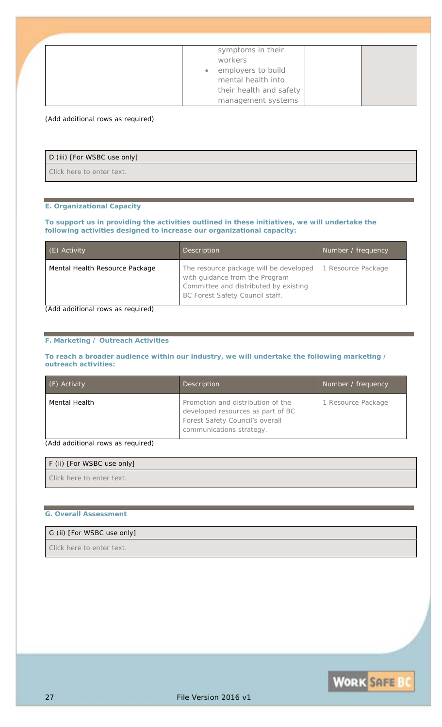|  | symptoms in their<br>workers<br>• employers to build<br>mental health into<br>their health and safety<br>management systems |  |
|--|-----------------------------------------------------------------------------------------------------------------------------|--|
|--|-----------------------------------------------------------------------------------------------------------------------------|--|

#### (Add additional rows as required)

#### D (iii) [For WSBC use only]

Click here to enter text.

#### **E. Organizational Capacity**

#### **To support us in providing the activities outlined in these initiatives, we will undertake the following activities designed to increase our organizational capacity:**

| (E) Activity                   | Description                                                                                                                                          | Number / frequency |
|--------------------------------|------------------------------------------------------------------------------------------------------------------------------------------------------|--------------------|
| Mental Health Resource Package | The resource package will be developed<br>with guidance from the Program<br>Committee and distributed by existing<br>BC Forest Safety Council staff. | 1 Resource Package |

(Add additional rows as required)

#### **F. Marketing / Outreach Activities**

#### **To reach a broader audience within our industry, we will undertake the following marketing / outreach activities:**

| (F) Activity  | Description                                                                                                                           | Number / frequency |
|---------------|---------------------------------------------------------------------------------------------------------------------------------------|--------------------|
| Mental Health | Promotion and distribution of the<br>developed resources as part of BC<br>Forest Safety Council's overall<br>communications strategy. | 1 Resource Package |

#### (Add additional rows as required)

| F (ii) [For WSBC use only] |  |
|----------------------------|--|
| Click here to enter text.  |  |

#### **G. Overall Assessment**

# G (ii) [For WSBC use only] Click here to enter text.

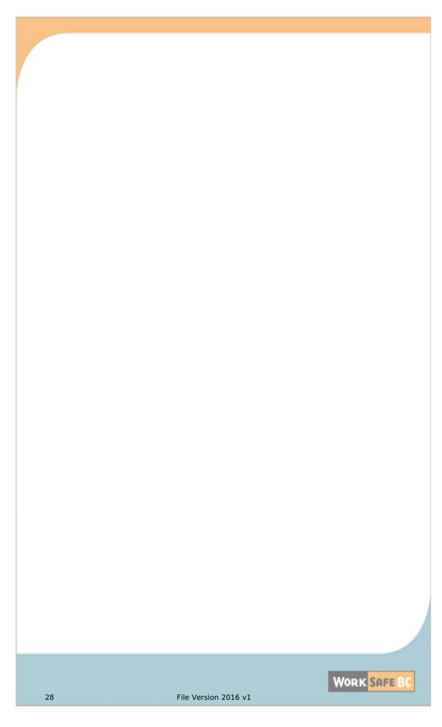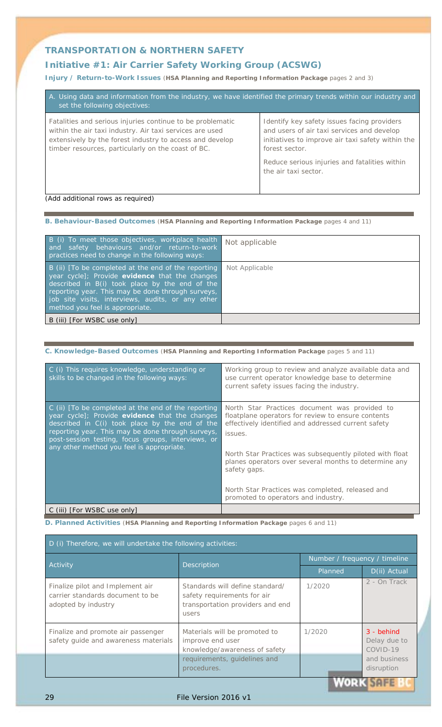# **TRANSPORTATION & NORTHERN SAFETY**

# **Initiative #1: Air Carrier Safety Working Group (ACSWG)**

#### **Injury / Return-to-Work Issues** (**HSA Planning and Reporting Information Package** pages 2 and 3)

| A. Using data and information from the industry, we have identified the primary trends within our industry and<br>set the following objectives:                                                                                          |                                                                                                                                                                  |  |  |
|------------------------------------------------------------------------------------------------------------------------------------------------------------------------------------------------------------------------------------------|------------------------------------------------------------------------------------------------------------------------------------------------------------------|--|--|
| Fatalities and serious injuries continue to be problematic<br>within the air taxi industry. Air taxi services are used<br>extensively by the forest industry to access and develop<br>timber resources, particularly on the coast of BC. | Identify key safety issues facing providers<br>and users of air taxi services and develop<br>initiatives to improve air taxi safety within the<br>forest sector. |  |  |
|                                                                                                                                                                                                                                          | Reduce serious injuries and fatalities within<br>the air taxi sector.                                                                                            |  |  |

#### (Add additional rows as required)

#### **B. Behaviour-Based Outcomes** (**HSA Planning and Reporting Information Package** pages 4 and 11)

| B (i) To meet those objectives, workplace health<br>and safety behaviours and/or return-to-work<br>practices need to change in the following ways:                                                                                                                                                  | Not applicable |
|-----------------------------------------------------------------------------------------------------------------------------------------------------------------------------------------------------------------------------------------------------------------------------------------------------|----------------|
| B (ii) To be completed at the end of the reporting<br>year cycle]; Provide evidence that the changes<br>described in B(i) took place by the end of the<br>reporting year. This may be done through surveys,<br>job site visits, interviews, audits, or any other<br>method you feel is appropriate. | Not Applicable |
| B (iii) [For WSBC use only]                                                                                                                                                                                                                                                                         |                |

#### **C. Knowledge-Based Outcomes** (**HSA Planning and Reporting Information Package** pages 5 and 11)

| C (i) This requires knowledge, understanding or<br>skills to be changed in the following ways:                                                                                                                                                                                                                  | Working group to review and analyze available data and<br>use current operator knowledge base to determine<br>current safety issues facing the industry.                                                                                                                                                                                                                                              |
|-----------------------------------------------------------------------------------------------------------------------------------------------------------------------------------------------------------------------------------------------------------------------------------------------------------------|-------------------------------------------------------------------------------------------------------------------------------------------------------------------------------------------------------------------------------------------------------------------------------------------------------------------------------------------------------------------------------------------------------|
| C (ii) [To be completed at the end of the reporting<br>year cycle]; Provide evidence that the changes<br>described in C(i) took place by the end of the<br>reporting year. This may be done through surveys,<br>post-session testing, focus groups, interviews, or<br>any other method you feel is appropriate. | North Star Practices document was provided to<br>floatplane operators for review to ensure contents<br>effectively identified and addressed current safety<br>issues.<br>North Star Practices was subsequently piloted with float<br>planes operators over several months to determine any<br>safety gaps.<br>North Star Practices was completed, released and<br>promoted to operators and industry. |
| C (iii) [For WSBC use only]                                                                                                                                                                                                                                                                                     |                                                                                                                                                                                                                                                                                                                                                                                                       |

**D. Planned Activities** (**HSA Planning and Reporting Information Package** pages 6 and 11)

### D (i) Therefore, we will undertake the following activities:

|                                                                                             |                                                                                                                                   | Number / frequency / timeline |                                                                        |
|---------------------------------------------------------------------------------------------|-----------------------------------------------------------------------------------------------------------------------------------|-------------------------------|------------------------------------------------------------------------|
| Activity                                                                                    | <b>Description</b>                                                                                                                | Planned                       | D(ii) Actual                                                           |
| Finalize pilot and Implement air<br>carrier standards document to be<br>adopted by industry | Standards will define standard/<br>safety requirements for air<br>transportation providers and end<br>users                       | 1/2020                        | 2 - On Track                                                           |
| Finalize and promote air passenger<br>safety guide and awareness materials                  | Materials will be promoted to<br>improve end user<br>knowledge/awareness of safety<br>requirements, guidelines and<br>procedures. | 1/2020                        | $3 - behind$<br>Delay due to<br>COVID-19<br>and business<br>disruption |

#### 29 File Version 2016 v1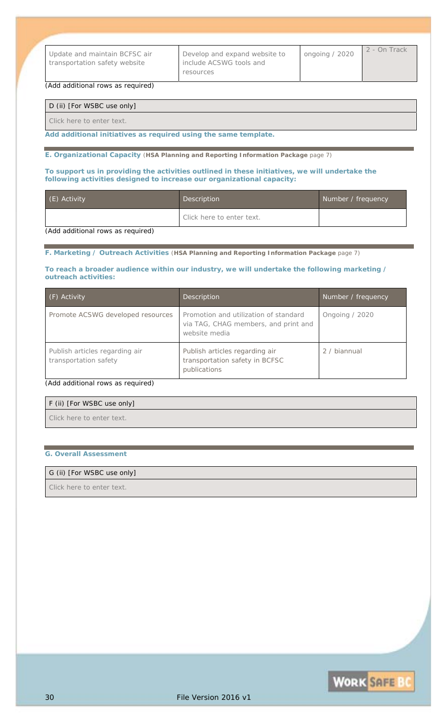Update and maintain BCFSC air transportation safety website

Develop and expand website to include ACSWG tools and resources

ongoing / 2020  $\Big|$  2 - On Track

(Add additional rows as required)

D (ii) [For WSBC use only]

Click here to enter text.

**Add additional initiatives as required using the same template.** 

**E. Organizational Capacity** (**HSA Planning and Reporting Information Package** page 7)

**To support us in providing the activities outlined in these initiatives, we will undertake the following activities designed to increase our organizational capacity:** 

| (E) Activity                         | <b>Description</b>        | Number / frequency |
|--------------------------------------|---------------------------|--------------------|
|                                      | Click here to enter text. |                    |
| (Add, additional route, as required) |                           |                    |

(Add additional rows as required)

**F. Marketing / Outreach Activities** (**HSA Planning and Reporting Information Package** page 7)

#### **To reach a broader audience within our industry, we will undertake the following marketing / outreach activities:**

| (F) Activity                                            | Description                                                                                    | Number / frequency |
|---------------------------------------------------------|------------------------------------------------------------------------------------------------|--------------------|
| Promote ACSWG developed resources                       | Promotion and utilization of standard<br>via TAG, CHAG members, and print and<br>website media | Ongoing / 2020     |
| Publish articles regarding air<br>transportation safety | Publish articles regarding air<br>transportation safety in BCFSC<br>publications               | 2 / biannual       |

#### (Add additional rows as required)

| F (ii) [For WSBC use only] |
|----------------------------|
| Click here to enter text.  |

#### **G. Overall Assessment**

#### G (ii) [For WSBC use only]

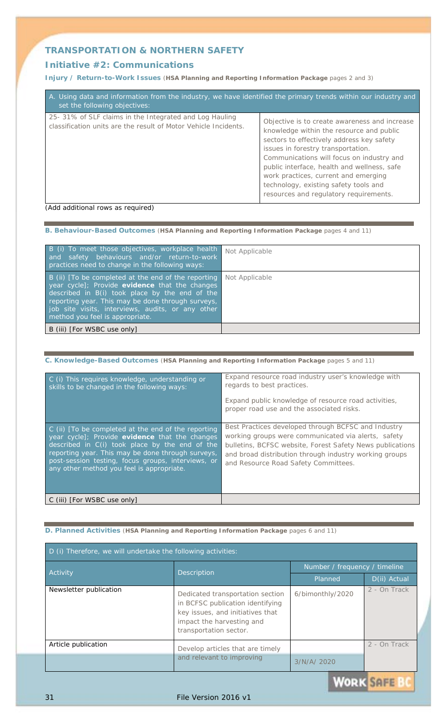# **TRANSPORTATION & NORTHERN SAFETY**

#### **Initiative #2: Communications**

**Injury / Return-to-Work Issues** (**HSA Planning and Reporting Information Package** pages 2 and 3)

| A. Using data and information from the industry, we have identified the primary trends within our industry and<br>set the following objectives: |                                                                                                                                                                                                                                                                                                                                                                                                     |  |
|-------------------------------------------------------------------------------------------------------------------------------------------------|-----------------------------------------------------------------------------------------------------------------------------------------------------------------------------------------------------------------------------------------------------------------------------------------------------------------------------------------------------------------------------------------------------|--|
| 25-31% of SLF claims in the Integrated and Log Hauling<br>classification units are the result of Motor Vehicle Incidents.                       | Objective is to create awareness and increase<br>knowledge within the resource and public<br>sectors to effectively address key safety<br>issues in forestry transportation.<br>Communications will focus on industry and<br>public interface, health and wellness, safe<br>work practices, current and emerging<br>technology, existing safety tools and<br>resources and regulatory requirements. |  |
| $(Adx + Adx)$ is an $Adx$ is a set of $A$                                                                                                       |                                                                                                                                                                                                                                                                                                                                                                                                     |  |

(Add additional rows as required)

#### **B. Behaviour-Based Outcomes** (**HSA Planning and Reporting Information Package** pages 4 and 11)

| B (i) To meet those objectives, workplace health<br>and safety behaviours and/or return-to-work<br>practices need to change in the following ways:                                                                                                                                                                    | Not Applicable |
|-----------------------------------------------------------------------------------------------------------------------------------------------------------------------------------------------------------------------------------------------------------------------------------------------------------------------|----------------|
| B (ii) [To be completed at the end of the reporting   Not Applicable<br>year cycle]; Provide evidence that the changes<br>described in B(i) took place by the end of the<br>reporting year. This may be done through surveys,<br>job site visits, interviews, audits, or any other<br>method you feel is appropriate. |                |
| B (iii) [For WSBC use only]                                                                                                                                                                                                                                                                                           |                |

#### **C. Knowledge-Based Outcomes** (**HSA Planning and Reporting Information Package** pages 5 and 11)

| C (i) This requires knowledge, understanding or<br>skills to be changed in the following ways:                                                                                                                                                                                                                  | Expand resource road industry user's knowledge with<br>regards to best practices.<br>Expand public knowledge of resource road activities.<br>proper road use and the associated risks.                                                                                    |
|-----------------------------------------------------------------------------------------------------------------------------------------------------------------------------------------------------------------------------------------------------------------------------------------------------------------|---------------------------------------------------------------------------------------------------------------------------------------------------------------------------------------------------------------------------------------------------------------------------|
| C (ii) [To be completed at the end of the reporting<br>year cycle]; Provide evidence that the changes<br>described in C(i) took place by the end of the<br>reporting year. This may be done through surveys,<br>post-session testing, focus groups, interviews, or<br>any other method you feel is appropriate. | Best Practices developed through BCFSC and Industry<br>working groups were communicated via alerts, safety<br>bulletins, BCFSC website, Forest Safety News publications<br>and broad distribution through industry working groups<br>and Resource Road Safety Committees. |
| C (iii) [For WSBC use only]                                                                                                                                                                                                                                                                                     |                                                                                                                                                                                                                                                                           |

#### **D. Planned Activities** (**HSA Planning and Reporting Information Package** pages 6 and 11)

| D (i) Therefore, we will undertake the following activities: |                                                                                                                                                                 |                               |              |
|--------------------------------------------------------------|-----------------------------------------------------------------------------------------------------------------------------------------------------------------|-------------------------------|--------------|
|                                                              |                                                                                                                                                                 | Number / frequency / timeline |              |
| Activity                                                     | <b>Description</b>                                                                                                                                              | Planned                       | D(ii) Actual |
| Newsletter publication                                       | Dedicated transportation section<br>in BCFSC publication identifying<br>key issues, and initiatives that<br>impact the harvesting and<br>transportation sector. | 6/bimonthly/2020              | 2 - On Track |
| Article publication                                          | Develop articles that are timely                                                                                                                                |                               | 2 - On Track |
|                                                              | and relevant to improving                                                                                                                                       | 3/N/A/2020                    |              |

**WORK SAFE**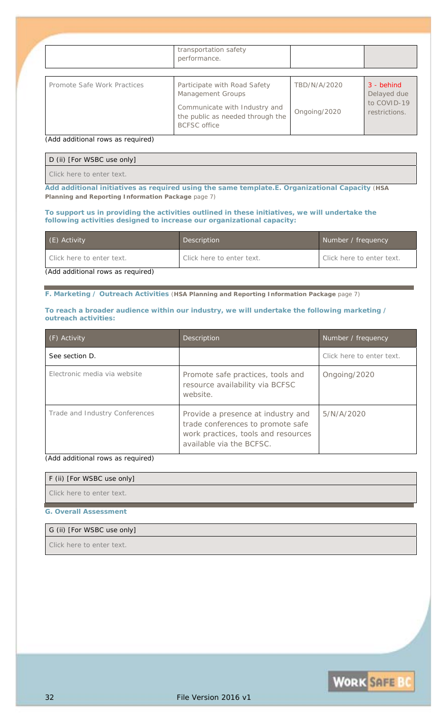|                             | transportation safety<br>performance.                                                                                                         |                              |                                                           |
|-----------------------------|-----------------------------------------------------------------------------------------------------------------------------------------------|------------------------------|-----------------------------------------------------------|
| Promote Safe Work Practices | Participate with Road Safety<br>Management Groups<br>Communicate with Industry and<br>the public as needed through the<br><b>BCFSC</b> office | TBD/N/A/2020<br>Ongoing/2020 | 3 - behind<br>Delayed due<br>to COVID-19<br>restrictions. |

# D (ii) [For WSBC use only]

Click here to enter text.

**Add additional initiatives as required using the same template.E. Organizational Capacity** (**HSA Planning and Reporting Information Package** page 7)

#### **To support us in providing the activities outlined in these initiatives, we will undertake the following activities designed to increase our organizational capacity:**

| (E) Activity                      | <b>Description</b>        | Number / frequency        |
|-----------------------------------|---------------------------|---------------------------|
| Click here to enter text.         | Click here to enter text. | Click here to enter text. |
| (Add additional rows as required) |                           |                           |

**F. Marketing / Outreach Activities** (**HSA Planning and Reporting Information Package** page 7)

**To reach a broader audience within our industry, we will undertake the following marketing / outreach activities:** 

| (F) Activity                   | Description                                                                                                                                | Number / frequency        |
|--------------------------------|--------------------------------------------------------------------------------------------------------------------------------------------|---------------------------|
| See section D.                 |                                                                                                                                            | Click here to enter text. |
| Electronic media via website   | Promote safe practices, tools and<br>resource availability via BCFSC<br>website.                                                           | Ongoing/2020              |
| Trade and Industry Conferences | Provide a presence at industry and<br>trade conferences to promote safe<br>work practices, tools and resources<br>available via the BCFSC. | 5/N/A/2020                |

(Add additional rows as required)

F (ii) [For WSBC use only] Click here to enter text.

# **G. Overall Assessment**

#### G (ii) [For WSBC use only]

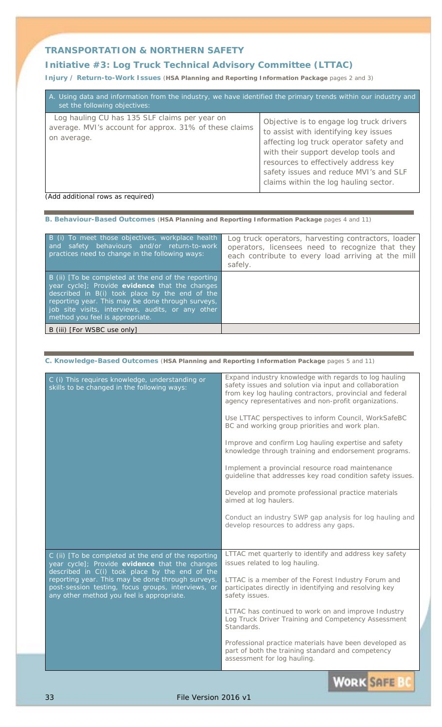# **TRANSPORTATION & NORTHERN SAFETY**

### **Initiative #3: Log Truck Technical Advisory Committee (LTTAC)**

**Injury / Return-to-Work Issues** (**HSA Planning and Reporting Information Package** pages 2 and 3)

| A. Using data and information from the industry, we have identified the primary trends within our industry and<br>set the following objectives: |                                                                                                                                                                                                                                                                                                 |  |
|-------------------------------------------------------------------------------------------------------------------------------------------------|-------------------------------------------------------------------------------------------------------------------------------------------------------------------------------------------------------------------------------------------------------------------------------------------------|--|
| Log hauling CU has 135 SLF claims per year on<br>average. MVI's account for approx. 31% of these claims<br>on average.                          | Objective is to engage log truck drivers<br>to assist with identifying key issues<br>affecting log truck operator safety and<br>with their support develop tools and<br>resources to effectively address key<br>safety issues and reduce MVI's and SLF<br>claims within the log hauling sector. |  |
| (Add additional rows as roquirod)                                                                                                               |                                                                                                                                                                                                                                                                                                 |  |

#### (Add additional rows as required)

**B. Behaviour-Based Outcomes** (**HSA Planning and Reporting Information Package** pages 4 and 11)

| B (i) To meet those objectives, workplace health<br>and safety behaviours and/or return-to-work<br>practices need to change in the following ways:                                                                                                                                                   | Log truck operators, harvesting contractors, loader<br>operators, licensees need to recognize that they<br>each contribute to every load arriving at the mill<br>safely. |
|------------------------------------------------------------------------------------------------------------------------------------------------------------------------------------------------------------------------------------------------------------------------------------------------------|--------------------------------------------------------------------------------------------------------------------------------------------------------------------------|
| B (ii) [To be completed at the end of the reporting<br>year cycle]; Provide evidence that the changes<br>described in B(i) took place by the end of the<br>reporting year. This may be done through surveys,<br>job site visits, interviews, audits, or any other<br>method you feel is appropriate. |                                                                                                                                                                          |
| B (iii) [For WSBC use only]                                                                                                                                                                                                                                                                          |                                                                                                                                                                          |

**C. Knowledge-Based Outcomes** (**HSA Planning and Reporting Information Package** pages 5 and 11)

| C (i) This requires knowledge, understanding or<br>skills to be changed in the following ways:                                                                                                                                                                                                                  | Expand industry knowledge with regards to log hauling<br>safety issues and solution via input and collaboration<br>from key log hauling contractors, provincial and federal<br>agency representatives and non-profit organizations.<br>Use LTTAC perspectives to inform Council, WorkSafeBC<br>BC and working group priorities and work plan.<br>Improve and confirm Log hauling expertise and safety<br>knowledge through training and endorsement programs.<br>Implement a provincial resource road maintenance<br>guideline that addresses key road condition safety issues.<br>Develop and promote professional practice materials<br>aimed at log haulers.<br>Conduct an industry SWP gap analysis for log hauling and<br>develop resources to address any gaps. |
|-----------------------------------------------------------------------------------------------------------------------------------------------------------------------------------------------------------------------------------------------------------------------------------------------------------------|-----------------------------------------------------------------------------------------------------------------------------------------------------------------------------------------------------------------------------------------------------------------------------------------------------------------------------------------------------------------------------------------------------------------------------------------------------------------------------------------------------------------------------------------------------------------------------------------------------------------------------------------------------------------------------------------------------------------------------------------------------------------------|
| C (ii) [To be completed at the end of the reporting<br>year cycle]; Provide evidence that the changes<br>described in C(i) took place by the end of the<br>reporting year. This may be done through surveys,<br>post-session testing, focus groups, interviews, or<br>any other method you feel is appropriate. | LTTAC met quarterly to identify and address key safety<br>issues related to log hauling.<br>LTTAC is a member of the Forest Industry Forum and<br>participates directly in identifying and resolving key<br>safety issues.<br>LTTAC has continued to work on and improve Industry<br>Log Truck Driver Training and Competency Assessment<br>Standards.<br>Professional practice materials have been developed as<br>part of both the training standard and competency<br>assessment for log hauling.                                                                                                                                                                                                                                                                  |

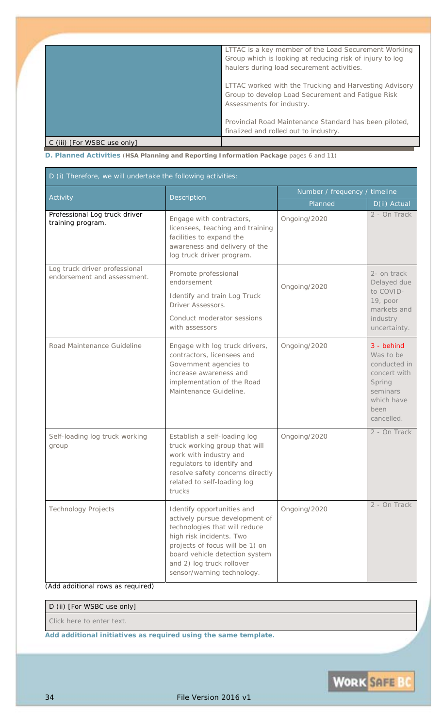|                             | LTTAC is a key member of the Load Securement Working<br>Group which is looking at reducing risk of injury to log<br>haulers during load securement activities. |
|-----------------------------|----------------------------------------------------------------------------------------------------------------------------------------------------------------|
|                             | LTTAC worked with the Trucking and Harvesting Advisory<br>Group to develop Load Securement and Fatigue Risk<br>Assessments for industry.                       |
|                             | Provincial Road Maintenance Standard has been piloted,<br>finalized and rolled out to industry.                                                                |
| C (iii) [For WSBC use only] |                                                                                                                                                                |

**D. Planned Activities** (**HSA Planning and Reporting Information Package** pages 6 and 11)

### D (i) Therefore, we will undertake the following activities:

|                                                              |                                                                                                                                                                                                                                                           | Number / frequency / timeline |                                                                                                                   |
|--------------------------------------------------------------|-----------------------------------------------------------------------------------------------------------------------------------------------------------------------------------------------------------------------------------------------------------|-------------------------------|-------------------------------------------------------------------------------------------------------------------|
| Activity                                                     | Description                                                                                                                                                                                                                                               | Planned                       | D(ii) Actual                                                                                                      |
| Professional Log truck driver<br>training program.           | Engage with contractors,<br>licensees, teaching and training<br>facilities to expand the<br>awareness and delivery of the<br>log truck driver program.                                                                                                    | Ongoing/2020                  | 2 - On Track                                                                                                      |
| Log truck driver professional<br>endorsement and assessment. | Promote professional<br>endorsement<br>Identify and train Log Truck<br>Driver Assessors.<br>Conduct moderator sessions<br>with assessors                                                                                                                  | Ongoing/2020                  | 2- on track<br>Delayed due<br>to COVID-<br>19, poor<br>markets and<br>industry<br>uncertainty.                    |
| Road Maintenance Guideline                                   | Engage with log truck drivers,<br>contractors, licensees and<br>Government agencies to<br>increase awareness and<br>implementation of the Road<br>Maintenance Guideline.                                                                                  | Ongoing/2020                  | 3 - behind<br>Was to be<br>conducted in<br>concert with<br>Spring<br>seminars<br>which have<br>been<br>cancelled. |
| Self-loading log truck working<br>group                      | Establish a self-loading log<br>truck working group that will<br>work with industry and<br>regulators to identify and<br>resolve safety concerns directly<br>related to self-loading log<br>trucks                                                        | Ongoing/2020                  | 2 - On Track                                                                                                      |
| <b>Technology Projects</b>                                   | Identify opportunities and<br>actively pursue development of<br>technologies that will reduce<br>high risk incidents. Two<br>projects of focus will be 1) on<br>board vehicle detection system<br>and 2) log truck rollover<br>sensor/warning technology. | Ongoing/2020                  | 2 - On Track                                                                                                      |

#### (Add additional rows as required)

### D (ii) [For WSBC use only]

Click here to enter text.

**Add additional initiatives as required using the same template.** 

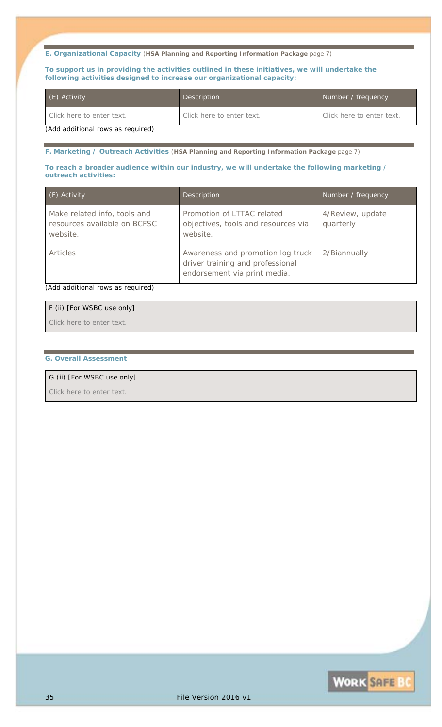**E. Organizational Capacity** (**HSA Planning and Reporting Information Package** page 7)

**To support us in providing the activities outlined in these initiatives, we will undertake the following activities designed to increase our organizational capacity:** 

| (E) Activity                      | <b>Description</b>        | Number / frequency        |
|-----------------------------------|---------------------------|---------------------------|
| Click here to enter text.         | Click here to enter text. | Click here to enter text. |
| (Add additional rows as required) |                           |                           |

ws as required)

**F. Marketing / Outreach Activities** (**HSA Planning and Reporting Information Package** page 7)

#### **To reach a broader audience within our industry, we will undertake the following marketing / outreach activities:**

| (F) Activity                                                             | Description                                                                                           | Number / frequency            |
|--------------------------------------------------------------------------|-------------------------------------------------------------------------------------------------------|-------------------------------|
| Make related info, tools and<br>resources available on BCFSC<br>website. | Promotion of LTTAC related<br>objectives, tools and resources via<br>website.                         | 4/Review, update<br>quarterly |
| Articles                                                                 | Awareness and promotion log truck<br>driver training and professional<br>endorsement via print media. | 2/Biannually                  |

(Add additional rows as required)

# F (ii) [For WSBC use only] Click here to enter text.

#### **G. Overall Assessment**

#### G (ii) [For WSBC use only]

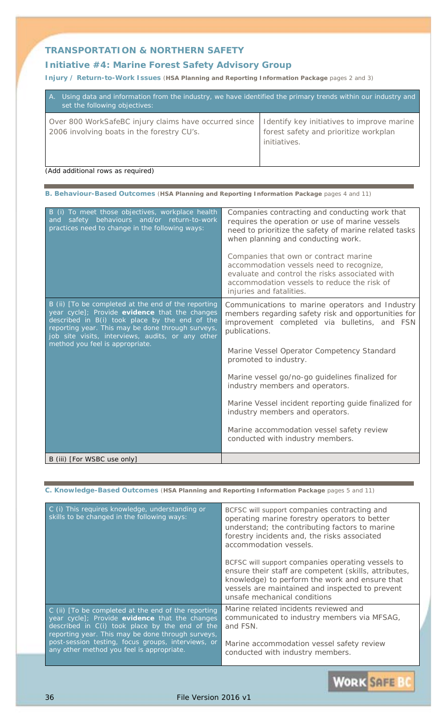# **TRANSPORTATION & NORTHERN SAFETY**

### **Initiative #4: Marine Forest Safety Advisory Group**

**Injury / Return-to-Work Issues** (**HSA Planning and Reporting Information Package** pages 2 and 3)

| Using data and information from the industry, we have identified the primary trends within our industry and<br>A <sub>1</sub><br>set the following objectives: |                                                                                                     |  |
|----------------------------------------------------------------------------------------------------------------------------------------------------------------|-----------------------------------------------------------------------------------------------------|--|
| Over 800 WorkSafeBC injury claims have occurred since<br>2006 involving boats in the forestry CU's.                                                            | Identify key initiatives to improve marine<br>forest safety and prioritize workplan<br>initiatives. |  |

#### (Add additional rows as required)

| B (i) To meet those objectives, workplace health<br>and safety behaviours and/or return-to-work<br>practices need to change in the following ways:                                                                                                                                                   | Companies contracting and conducting work that<br>requires the operation or use of marine vessels<br>need to prioritize the safety of marine related tasks<br>when planning and conducting work.<br>Companies that own or contract marine<br>accommodation vessels need to recognize,<br>evaluate and control the risks associated with<br>accommodation vessels to reduce the risk of<br>injuries and fatalities.                                                                                               |
|------------------------------------------------------------------------------------------------------------------------------------------------------------------------------------------------------------------------------------------------------------------------------------------------------|------------------------------------------------------------------------------------------------------------------------------------------------------------------------------------------------------------------------------------------------------------------------------------------------------------------------------------------------------------------------------------------------------------------------------------------------------------------------------------------------------------------|
| B (ii) [To be completed at the end of the reporting<br>year cycle]; Provide evidence that the changes<br>described in B(i) took place by the end of the<br>reporting year. This may be done through surveys,<br>job site visits, interviews, audits, or any other<br>method you feel is appropriate. | Communications to marine operators and Industry<br>members regarding safety risk and opportunities for<br>improvement completed via bulletins, and FSN<br>publications.<br>Marine Vessel Operator Competency Standard<br>promoted to industry.<br>Marine vessel go/no-go guidelines finalized for<br>industry members and operators.<br>Marine Vessel incident reporting guide finalized for<br>industry members and operators.<br>Marine accommodation vessel safety review<br>conducted with industry members. |
| B (iii) [For WSBC use only]                                                                                                                                                                                                                                                                          |                                                                                                                                                                                                                                                                                                                                                                                                                                                                                                                  |

**C. Knowledge-Based Outcomes** (**HSA Planning and Reporting Information Package** pages 5 and 11)

| C (i) This requires knowledge, understanding or<br>skills to be changed in the following ways:                                                                                                               | BCFSC will support companies contracting and<br>operating marine forestry operators to better<br>understand; the contributing factors to marine<br>forestry incidents and, the risks associated<br>accommodation vessels.                       |
|--------------------------------------------------------------------------------------------------------------------------------------------------------------------------------------------------------------|-------------------------------------------------------------------------------------------------------------------------------------------------------------------------------------------------------------------------------------------------|
|                                                                                                                                                                                                              | BCFSC will support companies operating vessels to<br>ensure their staff are competent (skills, attributes,<br>knowledge) to perform the work and ensure that<br>vessels are maintained and inspected to prevent<br>unsafe mechanical conditions |
| C (ii) [To be completed at the end of the reporting<br>year cycle]; Provide evidence that the changes<br>described in C(i) took place by the end of the<br>reporting year. This may be done through surveys, | Marine related incidents reviewed and<br>communicated to industry members via MFSAG,<br>and FSN.                                                                                                                                                |
| post-session testing, focus groups, interviews, or<br>any other method you feel is appropriate.                                                                                                              | Marine accommodation vessel safety review<br>conducted with industry members.                                                                                                                                                                   |

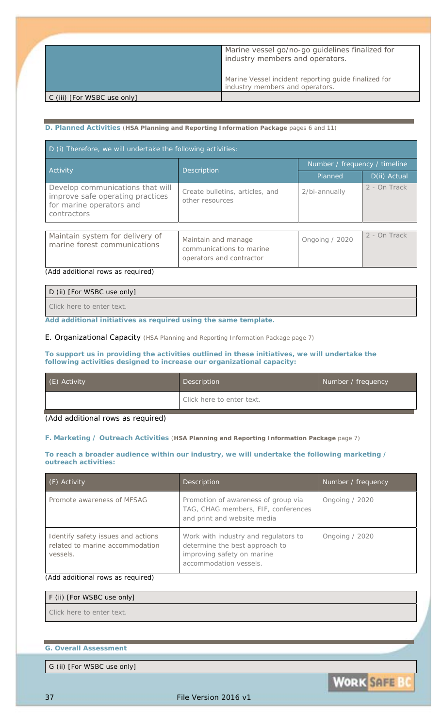Marine vessel go/no-go guidelines finalized for industry members and operators.

*Marine Vessel incident reporting guide finalized for industry members and operators.* 

C (iii) [For WSBC use only]

#### **D. Planned Activities** (**HSA Planning and Reporting Information Package** pages 6 and 11)

| D (i) Therefore, we will undertake the following activities:                                                    |                                                                             |                               |              |
|-----------------------------------------------------------------------------------------------------------------|-----------------------------------------------------------------------------|-------------------------------|--------------|
| Activity                                                                                                        | <b>Description</b>                                                          | Number / frequency / timeline |              |
|                                                                                                                 |                                                                             | Planned                       | D(ii) Actual |
| Develop communications that will<br>improve safe operating practices<br>for marine operators and<br>contractors | Create bulletins, articles, and<br>other resources                          | 2/bi-annually                 | 2 - On Track |
|                                                                                                                 |                                                                             |                               |              |
| Maintain system for delivery of<br>marine forest communications                                                 | Maintain and manage<br>communications to marine<br>operators and contractor | Ongoing / 2020                | 2 - On Track |

(Add additional rows as required)

D (ii) [For WSBC use only] Click here to enter text.

**Add additional initiatives as required using the same template.** 

E. Organizational Capacity (HSA Planning and Reporting Information Package page 7)

#### **To support us in providing the activities outlined in these initiatives, we will undertake the following activities designed to increase our organizational capacity:**

| (E) Activity | Description               | Number / frequency |
|--------------|---------------------------|--------------------|
|              | Click here to enter text. |                    |

(Add additional rows as required)

**F. Marketing / Outreach Activities** (**HSA Planning and Reporting Information Package** page 7)

#### **To reach a broader audience within our industry, we will undertake the following marketing / outreach activities:**

| (F) Activity                                                                      | Description                                                                                                                    | Number / frequency |
|-----------------------------------------------------------------------------------|--------------------------------------------------------------------------------------------------------------------------------|--------------------|
| Promote awareness of MFSAG                                                        | Promotion of awareness of group via<br>TAG, CHAG members, FIF, conferences<br>and print and website media                      | Ongoing / 2020     |
| Identify safety issues and actions<br>related to marine accommodation<br>vessels. | Work with industry and regulators to<br>determine the best approach to<br>improving safety on marine<br>accommodation vessels. | Ongoing / 2020     |

(Add additional rows as required)

# F (ii) [For WSBC use only] Click here to enter text.

**WORK SAFE BI** 

#### **G. Overall Assessment**

G (ii) [For WSBC use only]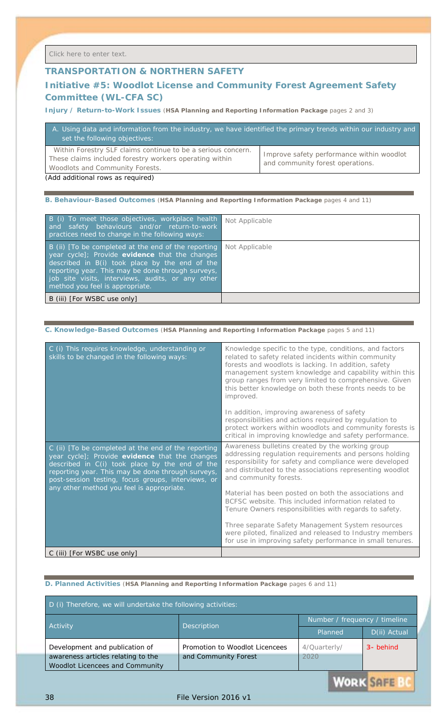Click here to enter text.

### **TRANSPORTATION & NORTHERN SAFETY**

# **Initiative #5: Woodlot License and Community Forest Agreement Safety Committee (WL-CFA SC)**

**Injury / Return-to-Work Issues** (**HSA Planning and Reporting Information Package** pages 2 and 3)

| A. Using data and information from the industry, we have identified the primary trends within our industry and<br>set the following objectives:            |                                                                               |
|------------------------------------------------------------------------------------------------------------------------------------------------------------|-------------------------------------------------------------------------------|
| Within Forestry SLF claims continue to be a serious concern.<br>These claims included forestry workers operating within<br>Woodlots and Community Forests. | Improve safety performance within woodlot<br>and community forest operations. |
| (Add additional rows as required)                                                                                                                          |                                                                               |

### **B. Behaviour-Based Outcomes** (**HSA Planning and Reporting Information Package** pages 4 and 11)

| B (i) To meet those objectives, workplace health<br>and safety behaviours and/or return-to-work<br>practices need to change in the following ways:                                                                                                                                                   | Not Applicable |
|------------------------------------------------------------------------------------------------------------------------------------------------------------------------------------------------------------------------------------------------------------------------------------------------------|----------------|
| B (ii) [To be completed at the end of the reporting<br>year cycle]; Provide evidence that the changes<br>described in B(i) took place by the end of the<br>reporting year. This may be done through surveys,<br>job site visits, interviews, audits, or any other<br>method you feel is appropriate. | Not Applicable |
| B (iii) [For WSBC use only]                                                                                                                                                                                                                                                                          |                |

# **C. Knowledge-Based Outcomes** (**HSA Planning and Reporting Information Package** pages 5 and 11)

| C (i) This requires knowledge, understanding or<br>skills to be changed in the following ways:                                                                                                                                                                                                                  | Knowledge specific to the type, conditions, and factors<br>related to safety related incidents within community<br>forests and woodlots is lacking. In addition, safety<br>management system knowledge and capability within this<br>group ranges from very limited to comprehensive. Given<br>this better knowledge on both these fronts needs to be<br>improved.<br>In addition, improving awareness of safety<br>responsibilities and actions required by regulation to<br>protect workers within woodlots and community forests is<br>critical in improving knowledge and safety performance.                   |
|-----------------------------------------------------------------------------------------------------------------------------------------------------------------------------------------------------------------------------------------------------------------------------------------------------------------|---------------------------------------------------------------------------------------------------------------------------------------------------------------------------------------------------------------------------------------------------------------------------------------------------------------------------------------------------------------------------------------------------------------------------------------------------------------------------------------------------------------------------------------------------------------------------------------------------------------------|
| C (ii) [To be completed at the end of the reporting<br>year cycle]; Provide evidence that the changes<br>described in C(i) took place by the end of the<br>reporting year. This may be done through surveys,<br>post-session testing, focus groups, interviews, or<br>any other method you feel is appropriate. | Awareness bulletins created by the working group<br>addressing regulation requirements and persons holding<br>responsibility for safety and compliance were developed<br>and distributed to the associations representing woodlot<br>and community forests.<br>Material has been posted on both the associations and<br>BCESC website. This included information related to<br>Tenure Owners responsibilities with regards to safety.<br>Three separate Safety Management System resources<br>were piloted, finalized and released to Industry members<br>for use in improving safety performance in small tenures. |
| C (iii) [For WSBC use only]                                                                                                                                                                                                                                                                                     |                                                                                                                                                                                                                                                                                                                                                                                                                                                                                                                                                                                                                     |

#### **D. Planned Activities** (**HSA Planning and Reporting Information Package** pages 6 and 11)

| D (i) Therefore, we will undertake the following activities: |                                |                               |                                                        |
|--------------------------------------------------------------|--------------------------------|-------------------------------|--------------------------------------------------------|
|                                                              | <b>Description</b>             | Number / frequency / timeline |                                                        |
| <b>Activity</b>                                              |                                | Planned                       | D(ii) Actual                                           |
| Development and publication of                               | Promotion to Woodlot Licencees | 4/Quarterly/                  | 3- behind                                              |
| awareness articles relating to the                           | and Community Forest           | 2020                          |                                                        |
| Woodlot Licencees and Community                              |                                |                               | <b>The Committee of the Committee of the Committee</b> |

**WORK SAFE B** 

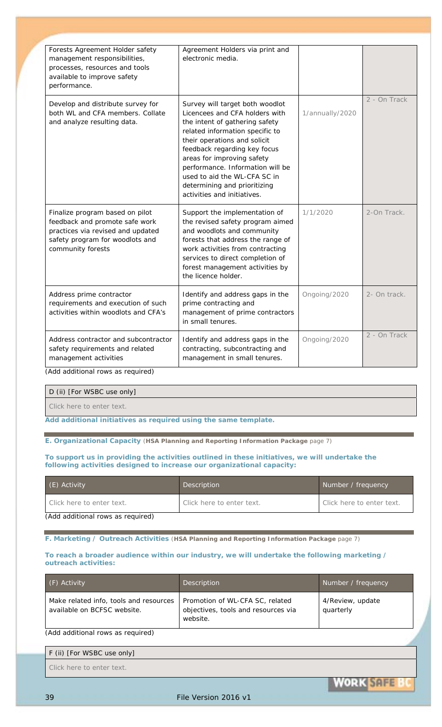| Forests Agreement Holder safety<br>management responsibilities,<br>processes, resources and tools<br>available to improve safety<br>performance.                   | Agreement Holders via print and<br>electronic media.                                                                                                                                                                                                                                                                                                                    |                 |              |
|--------------------------------------------------------------------------------------------------------------------------------------------------------------------|-------------------------------------------------------------------------------------------------------------------------------------------------------------------------------------------------------------------------------------------------------------------------------------------------------------------------------------------------------------------------|-----------------|--------------|
| Develop and distribute survey for<br>both WL and CFA members. Collate<br>and analyze resulting data.                                                               | Survey will target both woodlot<br>Licencees and CFA holders with<br>the intent of gathering safety<br>related information specific to<br>their operations and solicit<br>feedback regarding key focus<br>areas for improving safety<br>performance. Information will be<br>used to aid the WL-CFA SC in<br>determining and prioritizing<br>activities and initiatives. | 1/annually/2020 | 2 - On Track |
| Finalize program based on pilot<br>feedback and promote safe work<br>practices via revised and updated<br>safety program for woodlots and<br>community forests     | Support the implementation of<br>the revised safety program aimed<br>and woodlots and community<br>forests that address the range of<br>work activities from contracting<br>services to direct completion of<br>forest management activities by<br>the licence holder.                                                                                                  | 1/1/2020        | 2-On Track.  |
| Address prime contractor<br>requirements and execution of such<br>activities within woodlots and CFA's                                                             | Identify and address gaps in the<br>prime contracting and<br>management of prime contractors<br>in small tenures.                                                                                                                                                                                                                                                       | Ongoing/2020    | 2- On track. |
| Address contractor and subcontractor<br>safety requirements and related<br>management activities<br>A shall be alleged a series and construction and continue at N | Identify and address gaps in the<br>contracting, subcontracting and<br>management in small tenures.                                                                                                                                                                                                                                                                     | Ongoing/2020    | 2 - On Track |

(Add additional rows as required)

#### D (ii) [For WSBC use only]

Click here to enter text.

**Add additional initiatives as required using the same template.** 

**E. Organizational Capacity** (**HSA Planning and Reporting Information Package** page 7)

**To support us in providing the activities outlined in these initiatives, we will undertake the following activities designed to increase our organizational capacity:** 

| (E) Activity                      | Description               | Number / frequency        |
|-----------------------------------|---------------------------|---------------------------|
| Click here to enter text.         | Click here to enter text. | Click here to enter text. |
| (Add additional rows as required) |                           |                           |

required)

**F. Marketing / Outreach Activities** (**HSA Planning and Reporting Information Package** page 7)

#### **To reach a broader audience within our industry, we will undertake the following marketing / outreach activities:**

| (F) Activity                                                          | <b>Description</b>                                                                 | Number / frequency            |
|-----------------------------------------------------------------------|------------------------------------------------------------------------------------|-------------------------------|
| Make related info, tools and resources<br>available on BCFSC website. | Promotion of WL-CFA SC, related<br>objectives, tools and resources via<br>website. | 4/Review, update<br>quarterly |
| (Add additional rows as required)                                     |                                                                                    |                               |

**SAFE** 

VIOTER

F (ii) [For WSBC use only]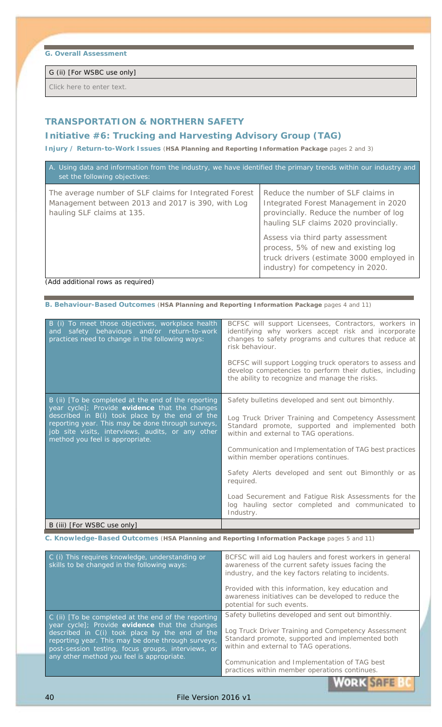**G. Overall Assessment** 

G (ii) [For WSBC use only]

Click here to enter text.

# **TRANSPORTATION & NORTHERN SAFETY**

### **Initiative #6: Trucking and Harvesting Advisory Group (TAG)**

**Injury / Return-to-Work Issues** (**HSA Planning and Reporting Information Package** pages 2 and 3)

| A. Using data and information from the industry, we have identified the primary trends within our industry and<br>set the following objectives: |                                                                                                                                                                                                    |  |
|-------------------------------------------------------------------------------------------------------------------------------------------------|----------------------------------------------------------------------------------------------------------------------------------------------------------------------------------------------------|--|
| The average number of SLF claims for Integrated Forest<br>Management between 2013 and 2017 is 390, with Log<br>hauling SLF claims at 135.       | Reduce the number of SLF claims in<br>Integrated Forest Management in 2020<br>provincially. Reduce the number of log<br>hauling SLF claims 2020 provincially.<br>Assess via third party assessment |  |
|                                                                                                                                                 | process, 5% of new and existing log<br>truck drivers (estimate 3000 employed in<br>industry) for competency in 2020.                                                                               |  |

(Add additional rows as required)

**B. Behaviour-Based Outcomes** (**HSA Planning and Reporting Information Package** pages 4 and 11)

| B (i) To meet those objectives, workplace health<br>safety behaviours and/or return-to-work<br>and<br>practices need to change in the following ways:                                                                                                                                                | BCFSC will support Licensees, Contractors, workers in<br>identifying why workers accept risk and incorporate<br>changes to safety programs and cultures that reduce at<br>risk behaviour.<br>BCFSC will support Logging truck operators to assess and<br>develop competencies to perform their duties, including<br>the ability to recognize and manage the risks.                                                                                                                                     |
|------------------------------------------------------------------------------------------------------------------------------------------------------------------------------------------------------------------------------------------------------------------------------------------------------|--------------------------------------------------------------------------------------------------------------------------------------------------------------------------------------------------------------------------------------------------------------------------------------------------------------------------------------------------------------------------------------------------------------------------------------------------------------------------------------------------------|
| B (ii) [To be completed at the end of the reporting<br>year cycle]; Provide evidence that the changes<br>described in B(i) took place by the end of the<br>reporting year. This may be done through surveys,<br>job site visits, interviews, audits, or any other<br>method you feel is appropriate. | Safety bulletins developed and sent out bimonthly.<br>Log Truck Driver Training and Competency Assessment<br>Standard promote, supported and implemented both<br>within and external to TAG operations.<br>Communication and Implementation of TAG best practices<br>within member operations continues.<br>Safety Alerts developed and sent out Bimonthly or as<br>required.<br>Load Securement and Fatigue Risk Assessments for the<br>log hauling sector completed and communicated to<br>Industry. |
| B (iii) [For WSBC use only]                                                                                                                                                                                                                                                                          |                                                                                                                                                                                                                                                                                                                                                                                                                                                                                                        |

**C. Knowledge-Based Outcomes** (**HSA Planning and Reporting Information Package** pages 5 and 11)

| C (i) This requires knowledge, understanding or<br>skills to be changed in the following ways:                                                                                                              | BCFSC will aid Log haulers and forest workers in general<br>awareness of the current safety issues facing the<br>industry, and the key factors relating to incidents. |
|-------------------------------------------------------------------------------------------------------------------------------------------------------------------------------------------------------------|-----------------------------------------------------------------------------------------------------------------------------------------------------------------------|
|                                                                                                                                                                                                             | Provided with this information, key education and<br>awareness initiatives can be developed to reduce the<br>potential for such events.                               |
| C (ii) [To be completed at the end of the reporting                                                                                                                                                         | Safety bulletins developed and sent out bimonthly.                                                                                                                    |
| year cycle]; Provide evidence that the changes<br>described in C(i) took place by the end of the<br>reporting year. This may be done through surveys,<br>post-session testing, focus groups, interviews, or | Log Truck Driver Training and Competency Assessment<br>Standard promote, supported and implemented both<br>within and external to TAG operations.                     |
| any other method you feel is appropriate.                                                                                                                                                                   | Communication and Implementation of TAG best<br>practices within member operations continues.                                                                         |

**SAFE** 

ORK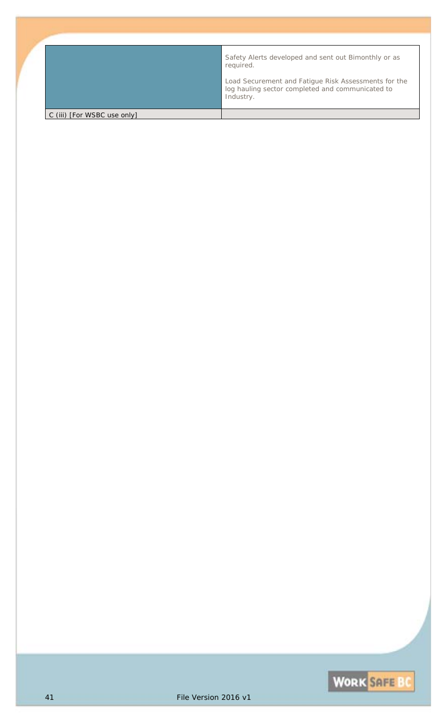|                             | Safety Alerts developed and sent out Bimonthly or as<br>required.                                                     |
|-----------------------------|-----------------------------------------------------------------------------------------------------------------------|
|                             | Load Securement and Fatigue Risk Assessments for the<br>log hauling sector completed and communicated to<br>Industry. |
| C (iii) [For WSBC use only] |                                                                                                                       |

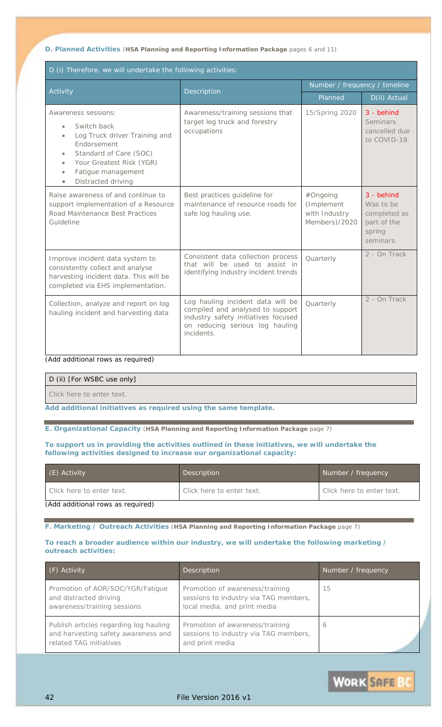**D. Planned Activities** (**HSA Planning and Reporting Information Package** pages 6 and 11)

| D (i) Therefore, we will undertake the following activities:                                                                                                                                                          |                                                                                                                                                               |                                                          |                                                                               |
|-----------------------------------------------------------------------------------------------------------------------------------------------------------------------------------------------------------------------|---------------------------------------------------------------------------------------------------------------------------------------------------------------|----------------------------------------------------------|-------------------------------------------------------------------------------|
| Activity                                                                                                                                                                                                              |                                                                                                                                                               | Number / frequency / timeline                            |                                                                               |
|                                                                                                                                                                                                                       | Description                                                                                                                                                   | Planned                                                  | D(ii) Actual                                                                  |
| Awareness sessions:<br>Switch back<br>Log Truck driver Training and<br><b>Fndorsement</b><br>Standard of Care (SOC)<br>Your Greatest Risk (YGR)<br>$\bullet$<br>Fatigue management<br>$\bullet$<br>Distracted driving | Awareness/training sessions that<br>target log truck and forestry<br>occupations                                                                              | 15/Spring 2020                                           | 3 - behind<br><b>Seminars</b><br>cancelled due<br>to COVID-19.                |
| Raise awareness of and continue to<br>support implementation of a Resource<br>Road Maintenance Best Practices<br>Guideline                                                                                            | Best practices guideline for<br>maintenance of resource roads for<br>safe log hauling use.                                                                    | #Ongoing<br>(Implement<br>with Industry<br>Members)/2020 | 3 - behind<br>Was to be<br>completed as<br>part of the<br>spring<br>seminars. |
| Improve incident data system to<br>consistently collect and analyse<br>harvesting incident data. This will be<br>completed via EHS implementation.                                                                    | Consistent data collection process<br>that will be used to assist in<br>identifying industry incident trends                                                  | Quarterly                                                | 2 - On Track                                                                  |
| Collection, analyze and report on log<br>hauling incident and harvesting data                                                                                                                                         | Log hauling incident data will be<br>compiled and analysed to support<br>industry safety initiatives focused<br>on reducing serious log hauling<br>incidents. | Quarterly                                                | 2 - On Track                                                                  |

#### (Add additional rows as required)

#### D (ii) [For WSBC use only]

Click here to enter text.

**Add additional initiatives as required using the same template.** 

**E. Organizational Capacity** (**HSA Planning and Reporting Information Package** page 7)

#### **To support us in providing the activities outlined in these initiatives, we will undertake the following activities designed to increase our organizational capacity:**

| (E) Activity                      | Description               | Number / frequency        |
|-----------------------------------|---------------------------|---------------------------|
| Click here to enter text.         | Click here to enter text. | Click here to enter text. |
| (Add additional rows as required) |                           |                           |

**F. Marketing / Outreach Activities** (**HSA Planning and Reporting Information Package** page 7)

#### **To reach a broader audience within our industry, we will undertake the following marketing / outreach activities:**

| (F) Activity                                                                                             | Description                                                                                              | Number / frequency |
|----------------------------------------------------------------------------------------------------------|----------------------------------------------------------------------------------------------------------|--------------------|
| Promotion of AOR/SOC/YGR/Fatigue<br>and distracted driving<br>awareness/training sessions                | Promotion of awareness/training<br>sessions to industry via TAG members,<br>local media, and print media | 15                 |
| Publish articles regarding log hauling<br>and harvesting safety awareness and<br>related TAG initiatives | Promotion of awareness/training<br>sessions to industry via TAG members,<br>and print media              | 6                  |

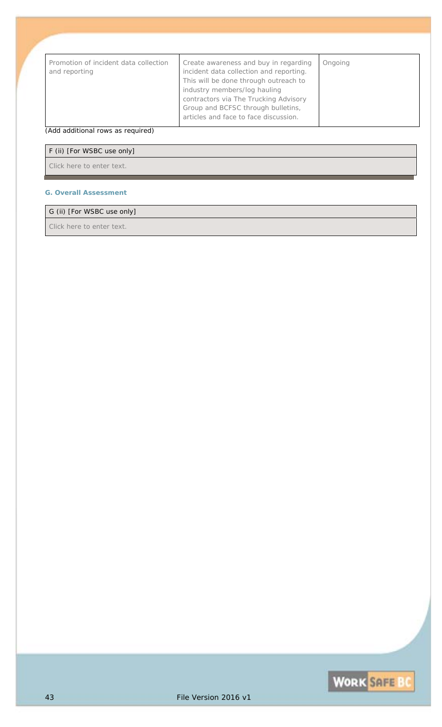| Promotion of incident data collection<br>and reporting | Create awareness and buy in regarding<br>incident data collection and reporting.<br>This will be done through outreach to<br>industry members/log hauling<br>contractors via The Trucking Advisory<br>Group and BCFSC through bulletins,<br>articles and face to face discussion. | Ongoing |
|--------------------------------------------------------|-----------------------------------------------------------------------------------------------------------------------------------------------------------------------------------------------------------------------------------------------------------------------------------|---------|

(Add additional rows as required)

#### F (ii) [For WSBC use only]

Click here to enter text.

#### **G. Overall Assessment**

#### G (ii) [For WSBC use only]

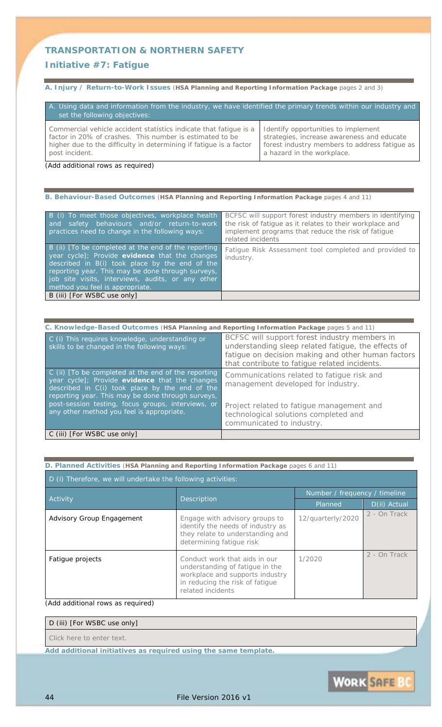### **TRANSPORTATION & NORTHERN SAFETY**

#### **Initiative #7: Fatigue**

**A. Injury / Return-to-Work Issues** (**HSA Planning and Reporting Information Package** pages 2 and 3)

| A. Using data and information from the industry, we have identified the primary trends within our industry and<br>set the following objectives: |                                               |  |
|-------------------------------------------------------------------------------------------------------------------------------------------------|-----------------------------------------------|--|
| Commercial vehicle accident statistics indicate that fatigue is a                                                                               | Identify opportunities to implement           |  |
| factor in 20% of crashes. This number is estimated to be                                                                                        | strategies, increase awareness and educate    |  |
| higher due to the difficulty in determining if fatigue is a factor                                                                              | forest industry members to address fatigue as |  |
| post incident.                                                                                                                                  | a hazard in the workplace.                    |  |

(Add additional rows as required)

#### **B. Behaviour-Based Outcomes** (**HSA Planning and Reporting Information Package** pages 4 and 11)

| B (i) To meet those objectives, workplace health<br>and safety behaviours and/or return-to-work<br>practices need to change in the following ways:                                                                                                                                                   | BCFSC will support forest industry members in identifying<br>the risk of fatigue as it relates to their workplace and<br>implement programs that reduce the risk of fatigue<br>related incidents |
|------------------------------------------------------------------------------------------------------------------------------------------------------------------------------------------------------------------------------------------------------------------------------------------------------|--------------------------------------------------------------------------------------------------------------------------------------------------------------------------------------------------|
| B (ii) [To be completed at the end of the reporting<br>year cycle]; Provide evidence that the changes<br>described in B(i) took place by the end of the<br>reporting year. This may be done through surveys,<br>job site visits, interviews, audits, or any other<br>method you feel is appropriate. | Fatigue Risk Assessment tool completed and provided to<br>industry.                                                                                                                              |
| B (iii) [For WSBC use only]                                                                                                                                                                                                                                                                          |                                                                                                                                                                                                  |

| C. Knowledge-Based Outcomes (HSA Planning and Reporting Information Package pages 5 and 11)                                                                                                                  |                                                                                                                                                                                                             |  |
|--------------------------------------------------------------------------------------------------------------------------------------------------------------------------------------------------------------|-------------------------------------------------------------------------------------------------------------------------------------------------------------------------------------------------------------|--|
| C (i) This requires knowledge, understanding or<br>skills to be changed in the following ways:                                                                                                               | BCFSC will support forest industry members in<br>understanding sleep related fatigue, the effects of<br>fatigue on decision making and other human factors<br>that contribute to fatigue related incidents. |  |
| C (ii) [To be completed at the end of the reporting<br>year cycle]; Provide evidence that the changes<br>described in C(i) took place by the end of the<br>reporting year. This may be done through surveys, | Communications related to fatigue risk and<br>management developed for industry.                                                                                                                            |  |
| post-session testing, focus groups, interviews, or<br>any other method you feel is appropriate.                                                                                                              | Project related to fatigue management and<br>technological solutions completed and<br>communicated to industry.                                                                                             |  |
| C (iii) [For WSBC use only]                                                                                                                                                                                  |                                                                                                                                                                                                             |  |

#### **D. Planned Activities** (**HSA Planning and Reporting Information Package** pages 6 and 11)

### D (i) Therefore, we will undertake the following activities:

|                           |                                                                                                                                                             | Number / frequency / timeline |              |
|---------------------------|-------------------------------------------------------------------------------------------------------------------------------------------------------------|-------------------------------|--------------|
| Activity                  | <b>Description</b>                                                                                                                                          | Planned                       | D(ii) Actual |
| Advisory Group Engagement | Engage with advisory groups to<br>identify the needs of industry as<br>they relate to understanding and<br>determining fatigue risk                         | 12/quarterly/2020             | 2 - On Track |
| Fatique projects          | Conduct work that aids in our<br>understanding of fatigue in the<br>workplace and supports industry<br>in reducing the risk of fatigue<br>related incidents | 1/2020                        | 2 - On Track |

(Add additional rows as required)

#### D (iii) [For WSBC use only]

Click here to enter text.

**Add additional initiatives as required using the same template.** 

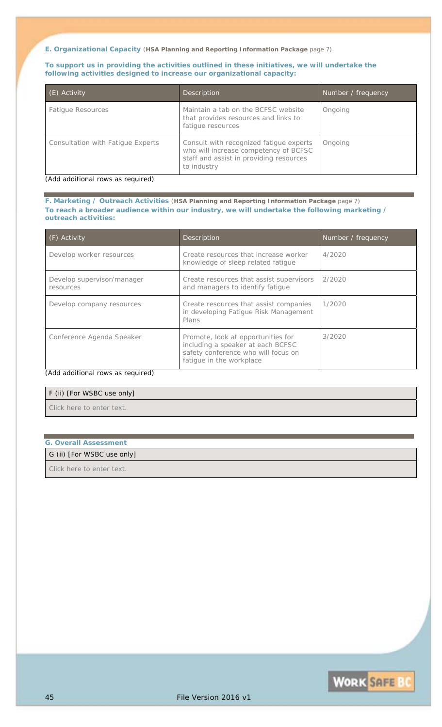#### **E. Organizational Capacity** (**HSA Planning and Reporting Information Package** page 7)

**To support us in providing the activities outlined in these initiatives, we will undertake the following activities designed to increase our organizational capacity:** 

| (E) Activity                      | <b>Description</b>                                                                                                                         | Number / frequency |
|-----------------------------------|--------------------------------------------------------------------------------------------------------------------------------------------|--------------------|
| <b>Fatique Resources</b>          | Maintain a tab on the BCFSC website<br>that provides resources and links to<br>fatique resources                                           | Ongoing            |
| Consultation with Fatique Experts | Consult with recognized fatique experts<br>who will increase competency of BCFSC<br>staff and assist in providing resources<br>to industry | Ongoing            |

(Add additional rows as required)

**F. Marketing / Outreach Activities** (**HSA Planning and Reporting Information Package** page 7) **To reach a broader audience within our industry, we will undertake the following marketing / outreach activities:** 

| (F) Activity                            | Description                                                                                                                                | Number / frequency |
|-----------------------------------------|--------------------------------------------------------------------------------------------------------------------------------------------|--------------------|
| Develop worker resources                | Create resources that increase worker<br>knowledge of sleep related fatigue                                                                | 4/2020             |
| Develop supervisor/manager<br>resources | Create resources that assist supervisors<br>and managers to identify fatique                                                               | 2/2020             |
| Develop company resources               | Create resources that assist companies<br>in developing Fatigue Risk Management<br>Plans                                                   | 1/2020             |
| Conference Agenda Speaker               | Promote, look at opportunities for<br>including a speaker at each BCFSC<br>safety conference who will focus on<br>fatique in the workplace | 3/2020             |

#### (Add additional rows as required)

#### F (ii) [For WSBC use only]

Click here to enter text.

#### **G. Overall Assessment**

#### G (ii) [For WSBC use only]

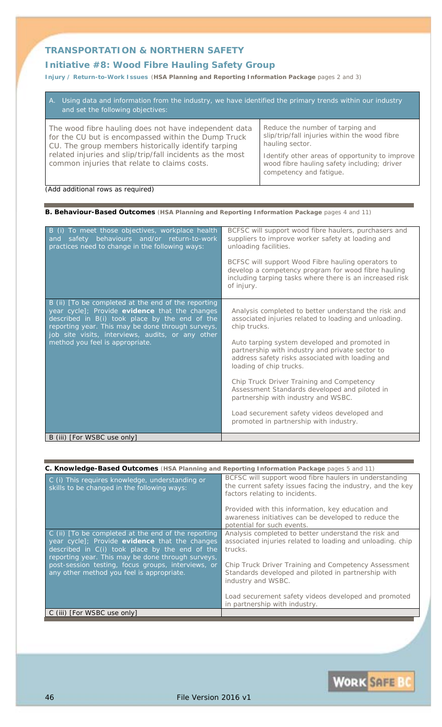# **TRANSPORTATION & NORTHERN SAFETY**

### **Initiative #8: Wood Fibre Hauling Safety Group**

**Injury / Return-to-Work Issues** (**HSA Planning and Reporting Information Package** pages 2 and 3)

| A. Using data and information from the industry, we have identified the primary trends within our industry<br>and set the following objectives:                                                                                                                                  |                                                                                                                                                                                                                                  |  |
|----------------------------------------------------------------------------------------------------------------------------------------------------------------------------------------------------------------------------------------------------------------------------------|----------------------------------------------------------------------------------------------------------------------------------------------------------------------------------------------------------------------------------|--|
| The wood fibre hauling does not have independent data<br>for the CU but is encompassed within the Dump Truck<br>CU. The group members historically identify tarping<br>related injuries and slip/trip/fall incidents as the most<br>common injuries that relate to claims costs. | Reduce the number of tarping and<br>slip/trip/fall injuries within the wood fibre<br>hauling sector.<br>Identify other areas of opportunity to improve<br>wood fibre hauling safety including; driver<br>competency and fatigue. |  |

(Add additional rows as required)

#### **B. Behaviour-Based Outcomes** (**HSA Planning and Reporting Information Package** pages 4 and 11)

| B (i) To meet those objectives, workplace health<br>safety behaviours and/or return-to-work<br>and<br>practices need to change in the following ways:                                                                                                                                                | BCFSC will support wood fibre haulers, purchasers and<br>suppliers to improve worker safety at loading and<br>unloading facilities.<br>BCFSC will support Wood Fibre hauling operators to<br>develop a competency program for wood fibre hauling<br>including tarping tasks where there is an increased risk<br>of injury.                                                                                                                                                                                                                     |
|------------------------------------------------------------------------------------------------------------------------------------------------------------------------------------------------------------------------------------------------------------------------------------------------------|------------------------------------------------------------------------------------------------------------------------------------------------------------------------------------------------------------------------------------------------------------------------------------------------------------------------------------------------------------------------------------------------------------------------------------------------------------------------------------------------------------------------------------------------|
| B (ii) [To be completed at the end of the reporting<br>year cycle]; Provide evidence that the changes<br>described in B(i) took place by the end of the<br>reporting year. This may be done through surveys,<br>job site visits, interviews, audits, or any other<br>method you feel is appropriate. | Analysis completed to better understand the risk and<br>associated injuries related to loading and unloading.<br>chip trucks.<br>Auto tarping system developed and promoted in<br>partnership with industry and private sector to<br>address safety risks associated with loading and<br>loading of chip trucks.<br>Chip Truck Driver Training and Competency<br>Assessment Standards developed and piloted in<br>partnership with industry and WSBC.<br>Load securement safety videos developed and<br>promoted in partnership with industry. |
| R (iii) [For WSRC uso only]                                                                                                                                                                                                                                                                          |                                                                                                                                                                                                                                                                                                                                                                                                                                                                                                                                                |

B (iii) [For WSBC use only

| C. Knowledge-Based Outcomes (HSA Planning and Reporting Information Package pages 5 and 11)                                                                                                                  |                                                                                                                                                        |  |
|--------------------------------------------------------------------------------------------------------------------------------------------------------------------------------------------------------------|--------------------------------------------------------------------------------------------------------------------------------------------------------|--|
| C (i) This requires knowledge, understanding or<br>skills to be changed in the following ways:                                                                                                               | BCFSC will support wood fibre haulers in understanding<br>the current safety issues facing the industry, and the key<br>factors relating to incidents. |  |
|                                                                                                                                                                                                              | Provided with this information, key education and<br>awareness initiatives can be developed to reduce the<br>potential for such events.                |  |
| C (ii) [To be completed at the end of the reporting<br>year cycle]; Provide evidence that the changes<br>described in C(i) took place by the end of the<br>reporting year. This may be done through surveys, | Analysis completed to better understand the risk and<br>associated injuries related to loading and unloading. chip<br>trucks.                          |  |
| post-session testing, focus groups, interviews, or<br>any other method you feel is appropriate.                                                                                                              | Chip Truck Driver Training and Competency Assessment<br>Standards developed and piloted in partnership with<br>industry and WSBC.                      |  |
|                                                                                                                                                                                                              | Load securement safety videos developed and promoted<br>in partnership with industry.                                                                  |  |
| C (iii) [For WSBC use only]                                                                                                                                                                                  |                                                                                                                                                        |  |

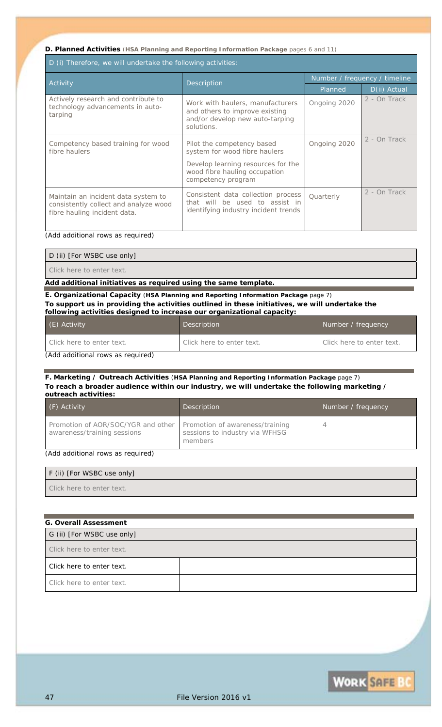#### **D. Planned Activities** (**HSA Planning and Reporting Information Package** pages 6 and 11)

| D (i) Therefore, we will undertake the following activities:                                                 |                                                                                                                                                          |                               |              |
|--------------------------------------------------------------------------------------------------------------|----------------------------------------------------------------------------------------------------------------------------------------------------------|-------------------------------|--------------|
| Activity                                                                                                     | Description                                                                                                                                              | Number / frequency / timeline |              |
|                                                                                                              |                                                                                                                                                          | Planned                       | D(ii) Actual |
| Actively research and contribute to<br>technology advancements in auto-<br>tarping                           | Work with haulers, manufacturers<br>and others to improve existing<br>and/or develop new auto-tarping<br>solutions.                                      | Ongoing 2020                  | 2 - On Track |
| Competency based training for wood<br>fibre haulers                                                          | Pilot the competency based<br>system for wood fibre haulers<br>Develop learning resources for the<br>wood fibre hauling occupation<br>competency program | Ongoing 2020                  | 2 - On Track |
| Maintain an incident data system to<br>consistently collect and analyze wood<br>fibre hauling incident data. | Consistent data collection process<br>that will be used to assist in<br>identifying industry incident trends                                             | Quarterly                     | 2 - On Track |

(Add additional rows as required)

| D (ii) [For WSBC use only]                                      |  |
|-----------------------------------------------------------------|--|
| Click here to enter text.                                       |  |
| Add additional initiatives as required using the same template. |  |

**E. Organizational Capacity** (**HSA Planning and Reporting Information Package** page 7) **To support us in providing the activities outlined in these initiatives, we will undertake the following activities designed to increase our organizational capacity:** 

| (E) Activity                      | Description               | Number / frequency        |
|-----------------------------------|---------------------------|---------------------------|
| Click here to enter text.         | Click here to enter text. | Click here to enter text. |
| (Add additional rows as required) |                           |                           |

(Add additional rows as required)

#### **F. Marketing / Outreach Activities** (**HSA Planning and Reporting Information Package** page 7) **To reach a broader audience within our industry, we will undertake the following marketing / outreach activities:**

| (F) Activity                                                      | Description                                                                  | Number / frequency |
|-------------------------------------------------------------------|------------------------------------------------------------------------------|--------------------|
| Promotion of AOR/SOC/YGR and other<br>awareness/training sessions | Promotion of awareness/training<br>sessions to industry via WFHSG<br>members |                    |

(Add additional rows as required)

| F (ii) [For WSBC use only] |  |
|----------------------------|--|
| Click here to enter text.  |  |

| <b>G. Overall Assessment</b> |  |
|------------------------------|--|
| G (ii) [For WSBC use only]   |  |
| Click here to enter text.    |  |
| Click here to enter text.    |  |
| Click here to enter text.    |  |

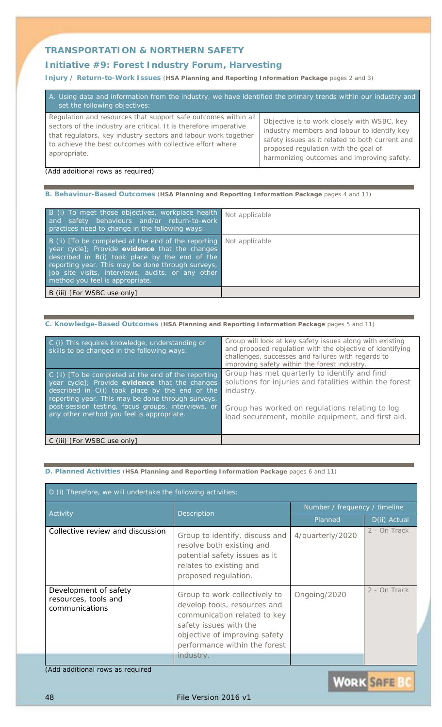# **TRANSPORTATION & NORTHERN SAFETY**

# **Initiative #9: Forest Industry Forum, Harvesting**

#### **Injury / Return-to-Work Issues** (**HSA Planning and Reporting Information Package** pages 2 and 3)

| A. Using data and information from the industry, we have identified the primary trends within our industry and<br>set the following objectives: |                                                 |  |  |
|-------------------------------------------------------------------------------------------------------------------------------------------------|-------------------------------------------------|--|--|
| Regulation and resources that support safe outcomes within all                                                                                  | Objective is to work closely with WSBC, key     |  |  |
| sectors of the industry are critical. It is therefore imperative                                                                                | industry members and labour to identify key     |  |  |
| that regulators, key industry sectors and labour work together                                                                                  | safety issues as it related to both current and |  |  |
| to achieve the best outcomes with collective effort where                                                                                       | proposed regulation with the goal of            |  |  |
| appropriate.                                                                                                                                    | harmonizing outcomes and improving safety.      |  |  |

#### (Add additional rows as required)

#### **B. Behaviour-Based Outcomes** (**HSA Planning and Reporting Information Package** pages 4 and 11)

| B (i) To meet those objectives, workplace health<br>and safety behaviours and/or return-to-work<br>practices need to change in the following ways:                                                                                                                                                   | Not applicable |
|------------------------------------------------------------------------------------------------------------------------------------------------------------------------------------------------------------------------------------------------------------------------------------------------------|----------------|
| B (ii) [To be completed at the end of the reporting<br>year cycle]; Provide evidence that the changes<br>described in B(i) took place by the end of the<br>reporting year. This may be done through surveys,<br>job site visits, interviews, audits, or any other<br>method you feel is appropriate. | Not applicable |
| B (iii) [For WSBC use only]                                                                                                                                                                                                                                                                          |                |

#### **C. Knowledge-Based Outcomes** (**HSA Planning and Reporting Information Package** pages 5 and 11)

| C (i) This requires knowledge, understanding or<br>skills to be changed in the following ways:                                                                                                                                                                                                                  | Group will look at key safety issues along with existing<br>and proposed regulation with the objective of identifying<br>challenges, successes and failures with regards to<br>improving safety within the forest industry.  |
|-----------------------------------------------------------------------------------------------------------------------------------------------------------------------------------------------------------------------------------------------------------------------------------------------------------------|------------------------------------------------------------------------------------------------------------------------------------------------------------------------------------------------------------------------------|
| C (ii) [To be completed at the end of the reporting<br>year cycle]; Provide evidence that the changes<br>described in C(i) took place by the end of the<br>reporting year. This may be done through surveys,<br>post-session testing, focus groups, interviews, or<br>any other method you feel is appropriate. | Group has met quarterly to identify and find<br>solutions for injuries and fatalities within the forest<br>industry.<br>Group has worked on regulations relating to log<br>load securement, mobile equipment, and first aid. |
| $C$ (iii) $\Gamma$ $\Gamma$ $\Omega$ $\Gamma$ $\Omega$ $\Omega$ $\Omega$ $\Omega$ $\Omega$ $\Omega$ $\Omega$                                                                                                                                                                                                    |                                                                                                                                                                                                                              |

C (iii) [For WSBC use only]

#### **D. Planned Activities** (**HSA Planning and Reporting Information Package** pages 6 and 11)

| D (i) Therefore, we will undertake the following activities:    |                                                                                                                                                                                                        |                               |              |
|-----------------------------------------------------------------|--------------------------------------------------------------------------------------------------------------------------------------------------------------------------------------------------------|-------------------------------|--------------|
| Activity                                                        | Description                                                                                                                                                                                            | Number / frequency / timeline |              |
|                                                                 |                                                                                                                                                                                                        | Planned                       | D(ii) Actual |
| Collective review and discussion                                | Group to identify, discuss and<br>resolve both existing and<br>potential safety issues as it<br>relates to existing and<br>proposed regulation.                                                        | 4/quarterly/2020              | 2 - On Track |
| Development of safety<br>resources, tools and<br>communications | Group to work collectively to<br>develop tools, resources and<br>communication related to key<br>safety issues with the<br>objective of improving safety<br>performance within the forest<br>industry. | Ongoing/2020                  | 2 - On Track |

(Add additional rows as required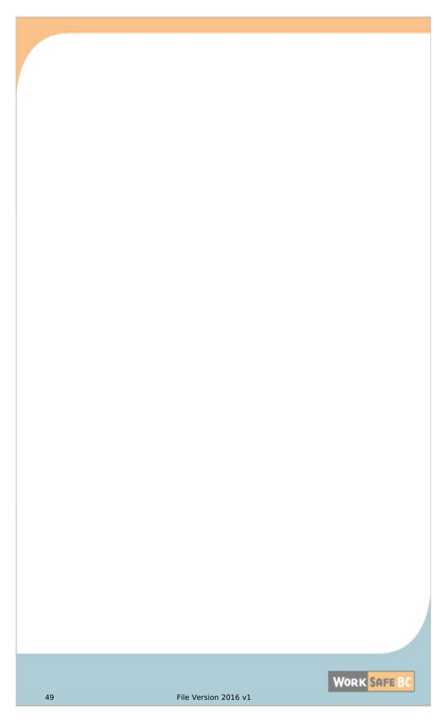